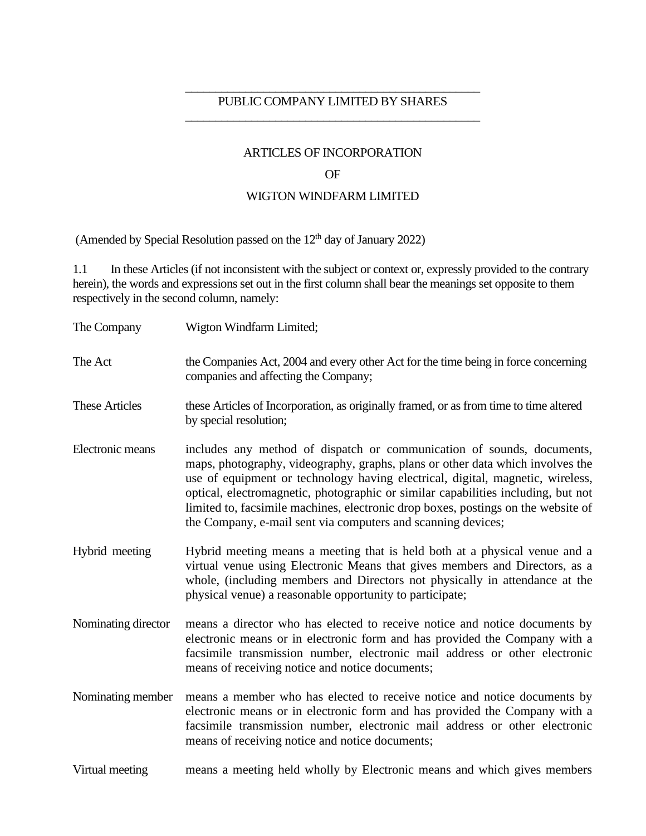#### \_\_\_\_\_\_\_\_\_\_\_\_\_\_\_\_\_\_\_\_\_\_\_\_\_\_\_\_\_\_\_\_\_\_\_\_\_\_\_\_\_\_\_\_\_\_\_\_\_ PUBLIC COMPANY LIMITED BY SHARES \_\_\_\_\_\_\_\_\_\_\_\_\_\_\_\_\_\_\_\_\_\_\_\_\_\_\_\_\_\_\_\_\_\_\_\_\_\_\_\_\_\_\_\_\_\_\_\_\_

#### ARTICLES OF INCORPORATION

#### OF

#### WIGTON WINDFARM LIMITED

(Amended by Special Resolution passed on the  $12<sup>th</sup>$  day of January 2022)

1.1 In these Articles (if not inconsistent with the subject or context or, expressly provided to the contrary herein), the words and expressions set out in the first column shall bear the meanings set opposite to them respectively in the second column, namely:

| The Company           | Wigton Windfarm Limited;                                                                                                                                                                                                                                                                                                                                                                                                                                                             |
|-----------------------|--------------------------------------------------------------------------------------------------------------------------------------------------------------------------------------------------------------------------------------------------------------------------------------------------------------------------------------------------------------------------------------------------------------------------------------------------------------------------------------|
| The Act               | the Companies Act, 2004 and every other Act for the time being in force concerning<br>companies and affecting the Company;                                                                                                                                                                                                                                                                                                                                                           |
| <b>These Articles</b> | these Articles of Incorporation, as originally framed, or as from time to time altered<br>by special resolution;                                                                                                                                                                                                                                                                                                                                                                     |
| Electronic means      | includes any method of dispatch or communication of sounds, documents,<br>maps, photography, videography, graphs, plans or other data which involves the<br>use of equipment or technology having electrical, digital, magnetic, wireless,<br>optical, electromagnetic, photographic or similar capabilities including, but not<br>limited to, facsimile machines, electronic drop boxes, postings on the website of<br>the Company, e-mail sent via computers and scanning devices; |
| Hybrid meeting        | Hybrid meeting means a meeting that is held both at a physical venue and a<br>virtual venue using Electronic Means that gives members and Directors, as a<br>whole, (including members and Directors not physically in attendance at the<br>physical venue) a reasonable opportunity to participate;                                                                                                                                                                                 |
| Nominating director   | means a director who has elected to receive notice and notice documents by<br>electronic means or in electronic form and has provided the Company with a<br>facsimile transmission number, electronic mail address or other electronic<br>means of receiving notice and notice documents;                                                                                                                                                                                            |
| Nominating member     | means a member who has elected to receive notice and notice documents by<br>electronic means or in electronic form and has provided the Company with a<br>facsimile transmission number, electronic mail address or other electronic<br>means of receiving notice and notice documents;                                                                                                                                                                                              |
| Virtual meeting       | means a meeting held wholly by Electronic means and which gives members                                                                                                                                                                                                                                                                                                                                                                                                              |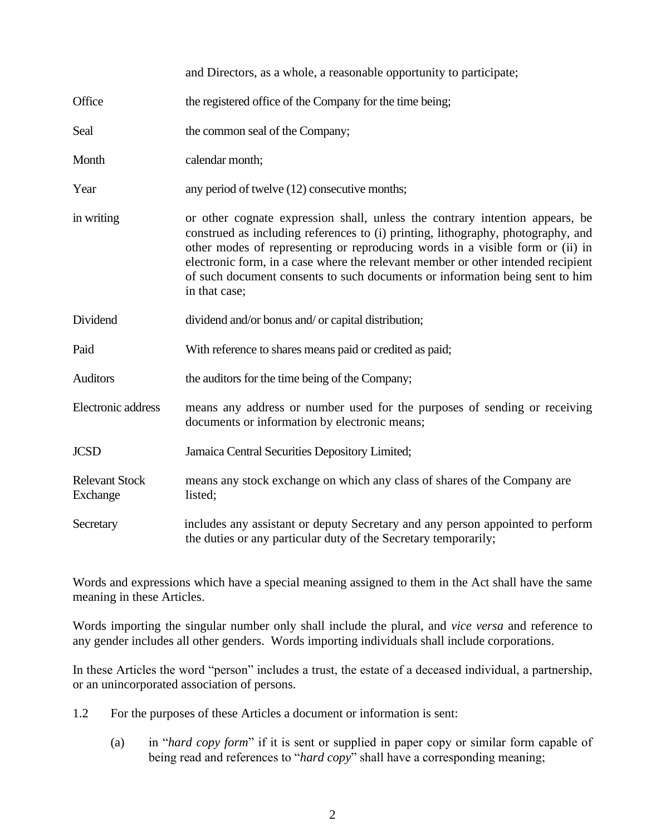|                                   | and Directors, as a whole, a reasonable opportunity to participate;                                                                                                                                                                                                                                                                                                                                                                    |
|-----------------------------------|----------------------------------------------------------------------------------------------------------------------------------------------------------------------------------------------------------------------------------------------------------------------------------------------------------------------------------------------------------------------------------------------------------------------------------------|
| Office                            | the registered office of the Company for the time being;                                                                                                                                                                                                                                                                                                                                                                               |
| Seal                              | the common seal of the Company;                                                                                                                                                                                                                                                                                                                                                                                                        |
| Month                             | calendar month;                                                                                                                                                                                                                                                                                                                                                                                                                        |
| Year                              | any period of twelve (12) consecutive months;                                                                                                                                                                                                                                                                                                                                                                                          |
| in writing                        | or other cognate expression shall, unless the contrary intention appears, be<br>construed as including references to (i) printing, lithography, photography, and<br>other modes of representing or reproducing words in a visible form or (ii) in<br>electronic form, in a case where the relevant member or other intended recipient<br>of such document consents to such documents or information being sent to him<br>in that case; |
| Dividend                          | dividend and/or bonus and/ or capital distribution;                                                                                                                                                                                                                                                                                                                                                                                    |
| Paid                              | With reference to shares means paid or credited as paid;                                                                                                                                                                                                                                                                                                                                                                               |
| <b>Auditors</b>                   | the auditors for the time being of the Company;                                                                                                                                                                                                                                                                                                                                                                                        |
| Electronic address                | means any address or number used for the purposes of sending or receiving<br>documents or information by electronic means;                                                                                                                                                                                                                                                                                                             |
| <b>JCSD</b>                       | Jamaica Central Securities Depository Limited;                                                                                                                                                                                                                                                                                                                                                                                         |
| <b>Relevant Stock</b><br>Exchange | means any stock exchange on which any class of shares of the Company are<br>listed;                                                                                                                                                                                                                                                                                                                                                    |
| Secretary                         | includes any assistant or deputy Secretary and any person appointed to perform<br>the duties or any particular duty of the Secretary temporarily;                                                                                                                                                                                                                                                                                      |

Words and expressions which have a special meaning assigned to them in the Act shall have the same meaning in these Articles.

Words importing the singular number only shall include the plural, and *vice versa* and reference to any gender includes all other genders. Words importing individuals shall include corporations.

In these Articles the word "person" includes a trust, the estate of a deceased individual, a partnership, or an unincorporated association of persons.

- 1.2 For the purposes of these Articles a document or information is sent:
	- (a) in "*hard copy form*" if it is sent or supplied in paper copy or similar form capable of being read and references to "*hard copy*" shall have a corresponding meaning;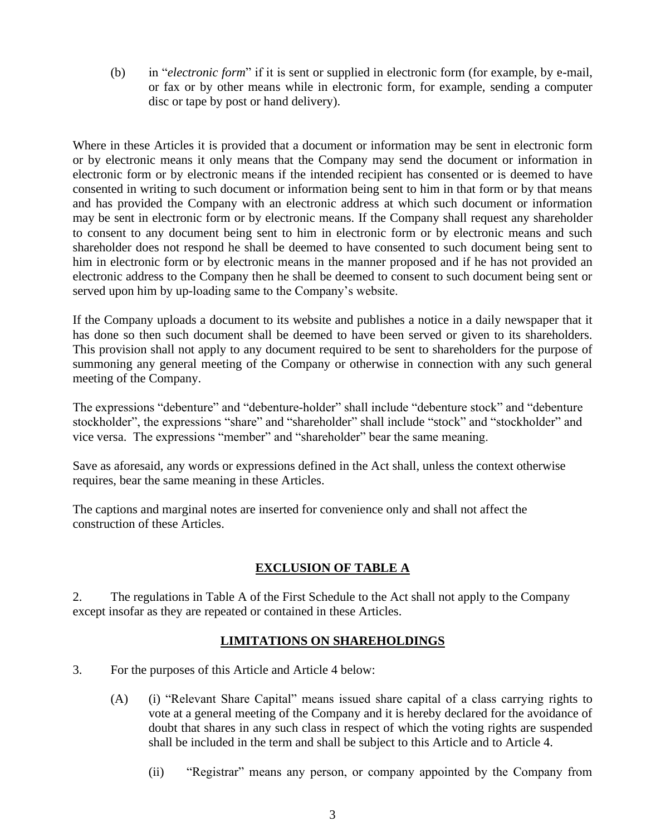(b) in "*electronic form*" if it is sent or supplied in electronic form (for example, by e-mail, or fax or by other means while in electronic form, for example, sending a computer disc or tape by post or hand delivery).

Where in these Articles it is provided that a document or information may be sent in electronic form or by electronic means it only means that the Company may send the document or information in electronic form or by electronic means if the intended recipient has consented or is deemed to have consented in writing to such document or information being sent to him in that form or by that means and has provided the Company with an electronic address at which such document or information may be sent in electronic form or by electronic means. If the Company shall request any shareholder to consent to any document being sent to him in electronic form or by electronic means and such shareholder does not respond he shall be deemed to have consented to such document being sent to him in electronic form or by electronic means in the manner proposed and if he has not provided an electronic address to the Company then he shall be deemed to consent to such document being sent or served upon him by up-loading same to the Company's website.

If the Company uploads a document to its website and publishes a notice in a daily newspaper that it has done so then such document shall be deemed to have been served or given to its shareholders. This provision shall not apply to any document required to be sent to shareholders for the purpose of summoning any general meeting of the Company or otherwise in connection with any such general meeting of the Company.

The expressions "debenture" and "debenture-holder" shall include "debenture stock" and "debenture stockholder", the expressions "share" and "shareholder" shall include "stock" and "stockholder" and vice versa. The expressions "member" and "shareholder" bear the same meaning.

Save as aforesaid, any words or expressions defined in the Act shall, unless the context otherwise requires, bear the same meaning in these Articles.

The captions and marginal notes are inserted for convenience only and shall not affect the construction of these Articles.

### **EXCLUSION OF TABLE A**

2. The regulations in Table A of the First Schedule to the Act shall not apply to the Company except insofar as they are repeated or contained in these Articles.

# **LIMITATIONS ON SHAREHOLDINGS**

- 3. For the purposes of this Article and Article 4 below:
	- (A) (i) "Relevant Share Capital" means issued share capital of a class carrying rights to vote at a general meeting of the Company and it is hereby declared for the avoidance of doubt that shares in any such class in respect of which the voting rights are suspended shall be included in the term and shall be subject to this Article and to Article 4.
		- (ii) "Registrar" means any person, or company appointed by the Company from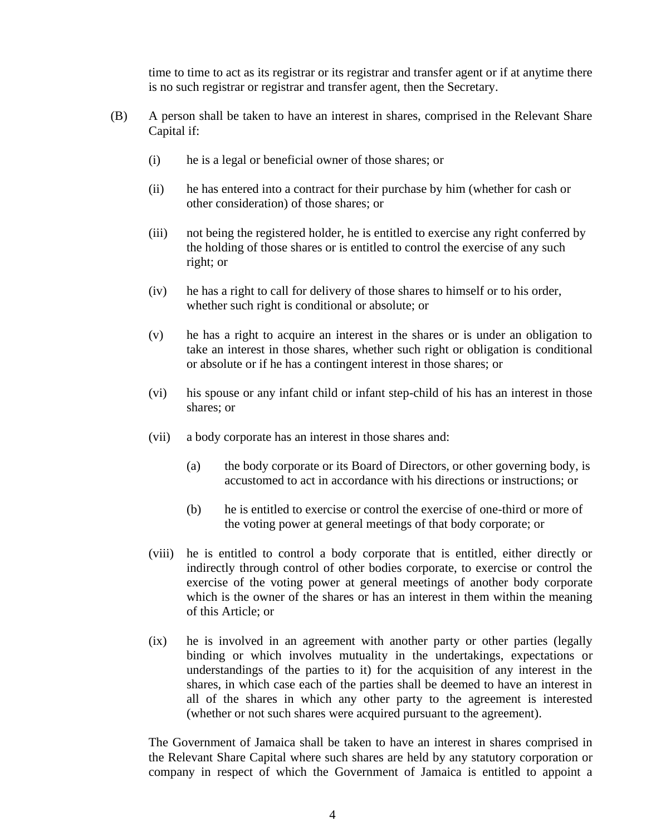time to time to act as its registrar or its registrar and transfer agent or if at anytime there is no such registrar or registrar and transfer agent, then the Secretary.

- (B) A person shall be taken to have an interest in shares, comprised in the Relevant Share Capital if:
	- (i) he is a legal or beneficial owner of those shares; or
	- (ii) he has entered into a contract for their purchase by him (whether for cash or other consideration) of those shares; or
	- (iii) not being the registered holder, he is entitled to exercise any right conferred by the holding of those shares or is entitled to control the exercise of any such right; or
	- (iv) he has a right to call for delivery of those shares to himself or to his order, whether such right is conditional or absolute; or
	- (v) he has a right to acquire an interest in the shares or is under an obligation to take an interest in those shares, whether such right or obligation is conditional or absolute or if he has a contingent interest in those shares; or
	- (vi) his spouse or any infant child or infant step-child of his has an interest in those shares; or
	- (vii) a body corporate has an interest in those shares and:
		- (a) the body corporate or its Board of Directors, or other governing body, is accustomed to act in accordance with his directions or instructions; or
		- (b) he is entitled to exercise or control the exercise of one-third or more of the voting power at general meetings of that body corporate; or
	- (viii) he is entitled to control a body corporate that is entitled, either directly or indirectly through control of other bodies corporate, to exercise or control the exercise of the voting power at general meetings of another body corporate which is the owner of the shares or has an interest in them within the meaning of this Article; or
	- (ix) he is involved in an agreement with another party or other parties (legally binding or which involves mutuality in the undertakings, expectations or understandings of the parties to it) for the acquisition of any interest in the shares, in which case each of the parties shall be deemed to have an interest in all of the shares in which any other party to the agreement is interested (whether or not such shares were acquired pursuant to the agreement).

The Government of Jamaica shall be taken to have an interest in shares comprised in the Relevant Share Capital where such shares are held by any statutory corporation or company in respect of which the Government of Jamaica is entitled to appoint a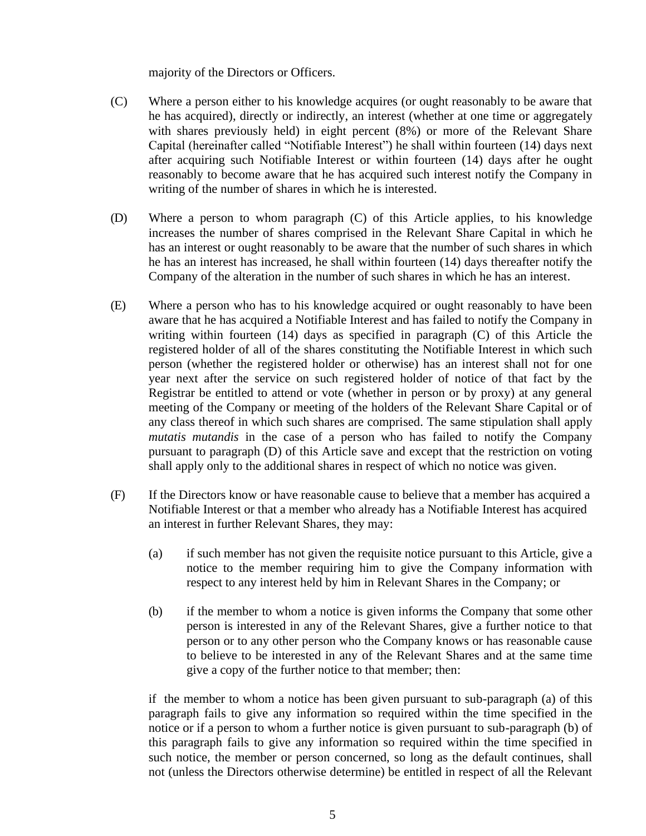majority of the Directors or Officers.

- (C) Where a person either to his knowledge acquires (or ought reasonably to be aware that he has acquired), directly or indirectly, an interest (whether at one time or aggregately with shares previously held) in eight percent (8%) or more of the Relevant Share Capital (hereinafter called "Notifiable Interest") he shall within fourteen (14) days next after acquiring such Notifiable Interest or within fourteen (14) days after he ought reasonably to become aware that he has acquired such interest notify the Company in writing of the number of shares in which he is interested.
- (D) Where a person to whom paragraph (C) of this Article applies, to his knowledge increases the number of shares comprised in the Relevant Share Capital in which he has an interest or ought reasonably to be aware that the number of such shares in which he has an interest has increased, he shall within fourteen (14) days thereafter notify the Company of the alteration in the number of such shares in which he has an interest.
- (E) Where a person who has to his knowledge acquired or ought reasonably to have been aware that he has acquired a Notifiable Interest and has failed to notify the Company in writing within fourteen (14) days as specified in paragraph (C) of this Article the registered holder of all of the shares constituting the Notifiable Interest in which such person (whether the registered holder or otherwise) has an interest shall not for one year next after the service on such registered holder of notice of that fact by the Registrar be entitled to attend or vote (whether in person or by proxy) at any general meeting of the Company or meeting of the holders of the Relevant Share Capital or of any class thereof in which such shares are comprised. The same stipulation shall apply *mutatis mutandis* in the case of a person who has failed to notify the Company pursuant to paragraph (D) of this Article save and except that the restriction on voting shall apply only to the additional shares in respect of which no notice was given.
- (F) If the Directors know or have reasonable cause to believe that a member has acquired a Notifiable Interest or that a member who already has a Notifiable Interest has acquired an interest in further Relevant Shares, they may:
	- (a) if such member has not given the requisite notice pursuant to this Article, give a notice to the member requiring him to give the Company information with respect to any interest held by him in Relevant Shares in the Company; or
	- (b) if the member to whom a notice is given informs the Company that some other person is interested in any of the Relevant Shares, give a further notice to that person or to any other person who the Company knows or has reasonable cause to believe to be interested in any of the Relevant Shares and at the same time give a copy of the further notice to that member; then:

if the member to whom a notice has been given pursuant to sub-paragraph (a) of this paragraph fails to give any information so required within the time specified in the notice or if a person to whom a further notice is given pursuant to sub-paragraph (b) of this paragraph fails to give any information so required within the time specified in such notice, the member or person concerned, so long as the default continues, shall not (unless the Directors otherwise determine) be entitled in respect of all the Relevant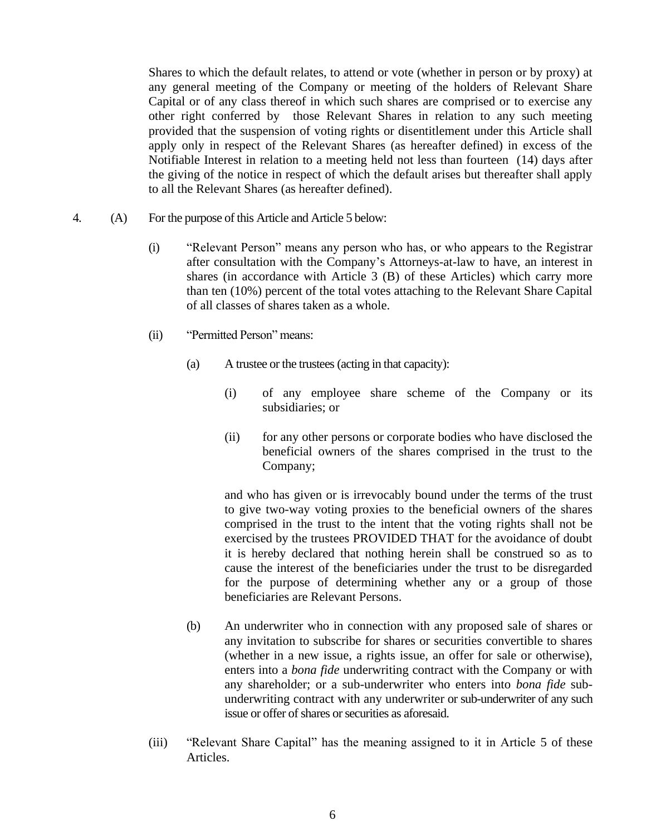Shares to which the default relates, to attend or vote (whether in person or by proxy) at any general meeting of the Company or meeting of the holders of Relevant Share Capital or of any class thereof in which such shares are comprised or to exercise any other right conferred by those Relevant Shares in relation to any such meeting provided that the suspension of voting rights or disentitlement under this Article shall apply only in respect of the Relevant Shares (as hereafter defined) in excess of the Notifiable Interest in relation to a meeting held not less than fourteen (14) days after the giving of the notice in respect of which the default arises but thereafter shall apply to all the Relevant Shares (as hereafter defined).

- 4. (A) For the purpose of this Article and Article 5 below:
	- (i) "Relevant Person" means any person who has, or who appears to the Registrar after consultation with the Company's Attorneys-at-law to have, an interest in shares (in accordance with Article 3 (B) of these Articles) which carry more than ten (10%) percent of the total votes attaching to the Relevant Share Capital of all classes of shares taken as a whole.
	- (ii) "Permitted Person" means:
		- (a) A trustee or the trustees (acting in that capacity):
			- (i) of any employee share scheme of the Company or its subsidiaries; or
			- (ii) for any other persons or corporate bodies who have disclosed the beneficial owners of the shares comprised in the trust to the Company;

and who has given or is irrevocably bound under the terms of the trust to give two-way voting proxies to the beneficial owners of the shares comprised in the trust to the intent that the voting rights shall not be exercised by the trustees PROVIDED THAT for the avoidance of doubt it is hereby declared that nothing herein shall be construed so as to cause the interest of the beneficiaries under the trust to be disregarded for the purpose of determining whether any or a group of those beneficiaries are Relevant Persons.

- (b) An underwriter who in connection with any proposed sale of shares or any invitation to subscribe for shares or securities convertible to shares (whether in a new issue, a rights issue, an offer for sale or otherwise), enters into a *bona fide* underwriting contract with the Company or with any shareholder; or a sub-underwriter who enters into *bona fide* subunderwriting contract with any underwriter or sub-underwriter of any such issue or offer of shares or securities as aforesaid.
- (iii) "Relevant Share Capital" has the meaning assigned to it in Article 5 of these Articles.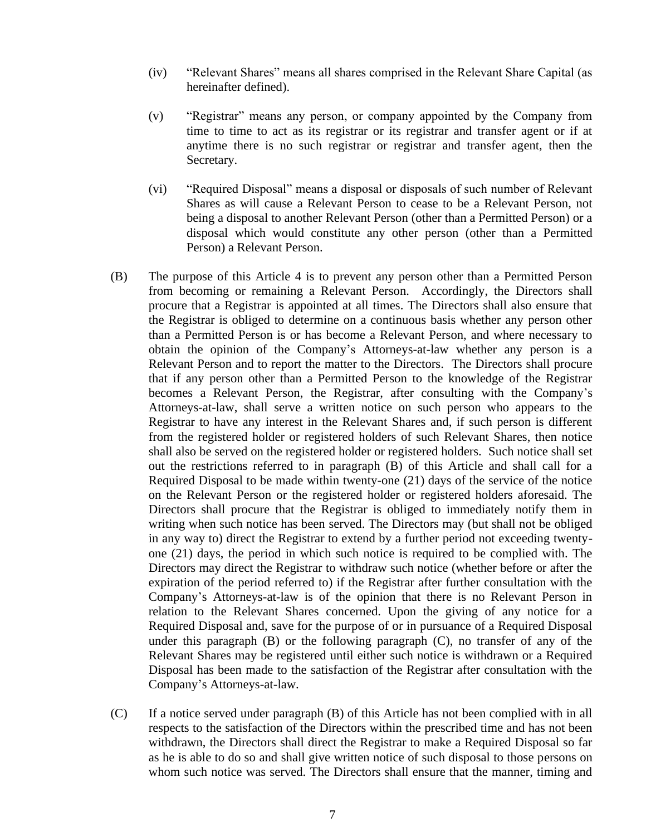- (iv) "Relevant Shares" means all shares comprised in the Relevant Share Capital (as hereinafter defined).
- (v) "Registrar" means any person, or company appointed by the Company from time to time to act as its registrar or its registrar and transfer agent or if at anytime there is no such registrar or registrar and transfer agent, then the Secretary.
- (vi) "Required Disposal" means a disposal or disposals of such number of Relevant Shares as will cause a Relevant Person to cease to be a Relevant Person, not being a disposal to another Relevant Person (other than a Permitted Person) or a disposal which would constitute any other person (other than a Permitted Person) a Relevant Person.
- (B) The purpose of this Article 4 is to prevent any person other than a Permitted Person from becoming or remaining a Relevant Person. Accordingly, the Directors shall procure that a Registrar is appointed at all times. The Directors shall also ensure that the Registrar is obliged to determine on a continuous basis whether any person other than a Permitted Person is or has become a Relevant Person, and where necessary to obtain the opinion of the Company's Attorneys-at-law whether any person is a Relevant Person and to report the matter to the Directors. The Directors shall procure that if any person other than a Permitted Person to the knowledge of the Registrar becomes a Relevant Person, the Registrar, after consulting with the Company's Attorneys-at-law, shall serve a written notice on such person who appears to the Registrar to have any interest in the Relevant Shares and, if such person is different from the registered holder or registered holders of such Relevant Shares, then notice shall also be served on the registered holder or registered holders. Such notice shall set out the restrictions referred to in paragraph (B) of this Article and shall call for a Required Disposal to be made within twenty-one (21) days of the service of the notice on the Relevant Person or the registered holder or registered holders aforesaid. The Directors shall procure that the Registrar is obliged to immediately notify them in writing when such notice has been served. The Directors may (but shall not be obliged in any way to) direct the Registrar to extend by a further period not exceeding twentyone (21) days, the period in which such notice is required to be complied with. The Directors may direct the Registrar to withdraw such notice (whether before or after the expiration of the period referred to) if the Registrar after further consultation with the Company's Attorneys-at-law is of the opinion that there is no Relevant Person in relation to the Relevant Shares concerned. Upon the giving of any notice for a Required Disposal and, save for the purpose of or in pursuance of a Required Disposal under this paragraph (B) or the following paragraph (C), no transfer of any of the Relevant Shares may be registered until either such notice is withdrawn or a Required Disposal has been made to the satisfaction of the Registrar after consultation with the Company's Attorneys-at-law.
- (C) If a notice served under paragraph (B) of this Article has not been complied with in all respects to the satisfaction of the Directors within the prescribed time and has not been withdrawn, the Directors shall direct the Registrar to make a Required Disposal so far as he is able to do so and shall give written notice of such disposal to those persons on whom such notice was served. The Directors shall ensure that the manner, timing and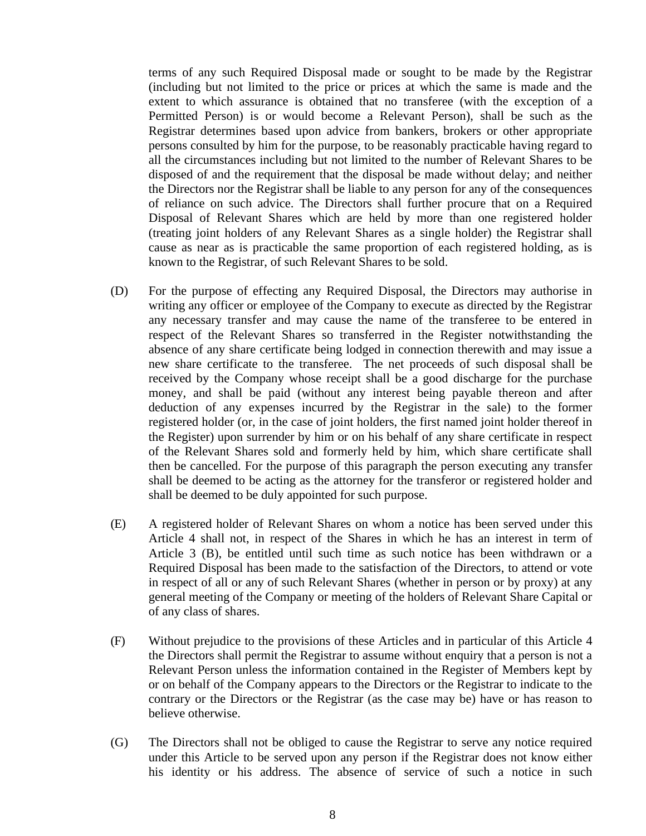terms of any such Required Disposal made or sought to be made by the Registrar (including but not limited to the price or prices at which the same is made and the extent to which assurance is obtained that no transferee (with the exception of a Permitted Person) is or would become a Relevant Person), shall be such as the Registrar determines based upon advice from bankers, brokers or other appropriate persons consulted by him for the purpose, to be reasonably practicable having regard to all the circumstances including but not limited to the number of Relevant Shares to be disposed of and the requirement that the disposal be made without delay; and neither the Directors nor the Registrar shall be liable to any person for any of the consequences of reliance on such advice. The Directors shall further procure that on a Required Disposal of Relevant Shares which are held by more than one registered holder (treating joint holders of any Relevant Shares as a single holder) the Registrar shall cause as near as is practicable the same proportion of each registered holding, as is known to the Registrar, of such Relevant Shares to be sold.

- (D) For the purpose of effecting any Required Disposal, the Directors may authorise in writing any officer or employee of the Company to execute as directed by the Registrar any necessary transfer and may cause the name of the transferee to be entered in respect of the Relevant Shares so transferred in the Register notwithstanding the absence of any share certificate being lodged in connection therewith and may issue a new share certificate to the transferee. The net proceeds of such disposal shall be received by the Company whose receipt shall be a good discharge for the purchase money, and shall be paid (without any interest being payable thereon and after deduction of any expenses incurred by the Registrar in the sale) to the former registered holder (or, in the case of joint holders, the first named joint holder thereof in the Register) upon surrender by him or on his behalf of any share certificate in respect of the Relevant Shares sold and formerly held by him, which share certificate shall then be cancelled. For the purpose of this paragraph the person executing any transfer shall be deemed to be acting as the attorney for the transferor or registered holder and shall be deemed to be duly appointed for such purpose.
- (E) A registered holder of Relevant Shares on whom a notice has been served under this Article 4 shall not, in respect of the Shares in which he has an interest in term of Article 3 (B), be entitled until such time as such notice has been withdrawn or a Required Disposal has been made to the satisfaction of the Directors, to attend or vote in respect of all or any of such Relevant Shares (whether in person or by proxy) at any general meeting of the Company or meeting of the holders of Relevant Share Capital or of any class of shares.
- (F) Without prejudice to the provisions of these Articles and in particular of this Article 4 the Directors shall permit the Registrar to assume without enquiry that a person is not a Relevant Person unless the information contained in the Register of Members kept by or on behalf of the Company appears to the Directors or the Registrar to indicate to the contrary or the Directors or the Registrar (as the case may be) have or has reason to believe otherwise.
- (G) The Directors shall not be obliged to cause the Registrar to serve any notice required under this Article to be served upon any person if the Registrar does not know either his identity or his address. The absence of service of such a notice in such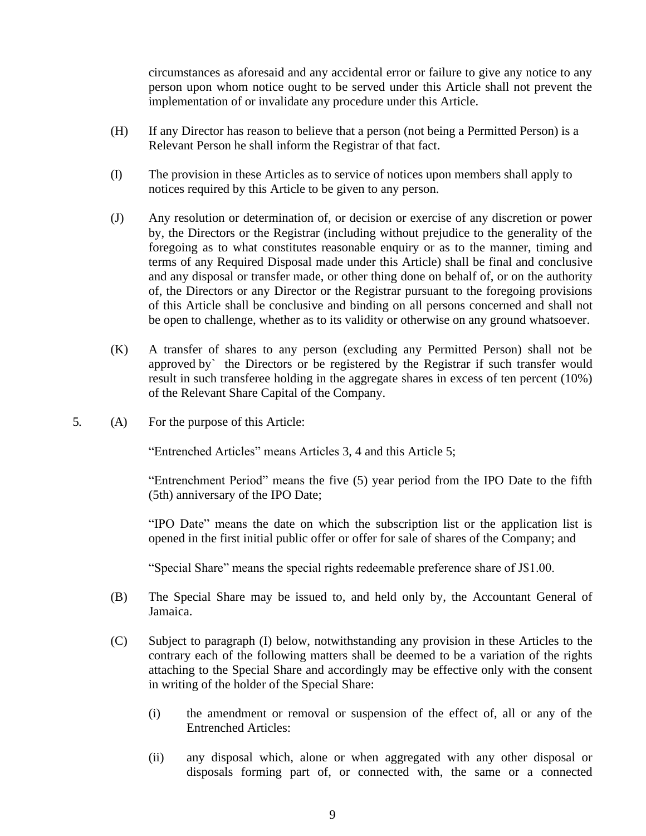circumstances as aforesaid and any accidental error or failure to give any notice to any person upon whom notice ought to be served under this Article shall not prevent the implementation of or invalidate any procedure under this Article.

- (H) If any Director has reason to believe that a person (not being a Permitted Person) is a Relevant Person he shall inform the Registrar of that fact.
- (I) The provision in these Articles as to service of notices upon members shall apply to notices required by this Article to be given to any person.
- (J) Any resolution or determination of, or decision or exercise of any discretion or power by, the Directors or the Registrar (including without prejudice to the generality of the foregoing as to what constitutes reasonable enquiry or as to the manner, timing and terms of any Required Disposal made under this Article) shall be final and conclusive and any disposal or transfer made, or other thing done on behalf of, or on the authority of, the Directors or any Director or the Registrar pursuant to the foregoing provisions of this Article shall be conclusive and binding on all persons concerned and shall not be open to challenge, whether as to its validity or otherwise on any ground whatsoever.
- (K) A transfer of shares to any person (excluding any Permitted Person) shall not be approved by` the Directors or be registered by the Registrar if such transfer would result in such transferee holding in the aggregate shares in excess of ten percent (10%) of the Relevant Share Capital of the Company.
- 5. (A) For the purpose of this Article:

"Entrenched Articles" means Articles 3, 4 and this Article 5;

"Entrenchment Period" means the five (5) year period from the IPO Date to the fifth (5th) anniversary of the IPO Date;

"IPO Date" means the date on which the subscription list or the application list is opened in the first initial public offer or offer for sale of shares of the Company; and

"Special Share" means the special rights redeemable preference share of J\$1.00.

- (B) The Special Share may be issued to, and held only by, the Accountant General of Jamaica.
- (C) Subject to paragraph (I) below, notwithstanding any provision in these Articles to the contrary each of the following matters shall be deemed to be a variation of the rights attaching to the Special Share and accordingly may be effective only with the consent in writing of the holder of the Special Share:
	- (i) the amendment or removal or suspension of the effect of, all or any of the Entrenched Articles:
	- (ii) any disposal which, alone or when aggregated with any other disposal or disposals forming part of, or connected with, the same or a connected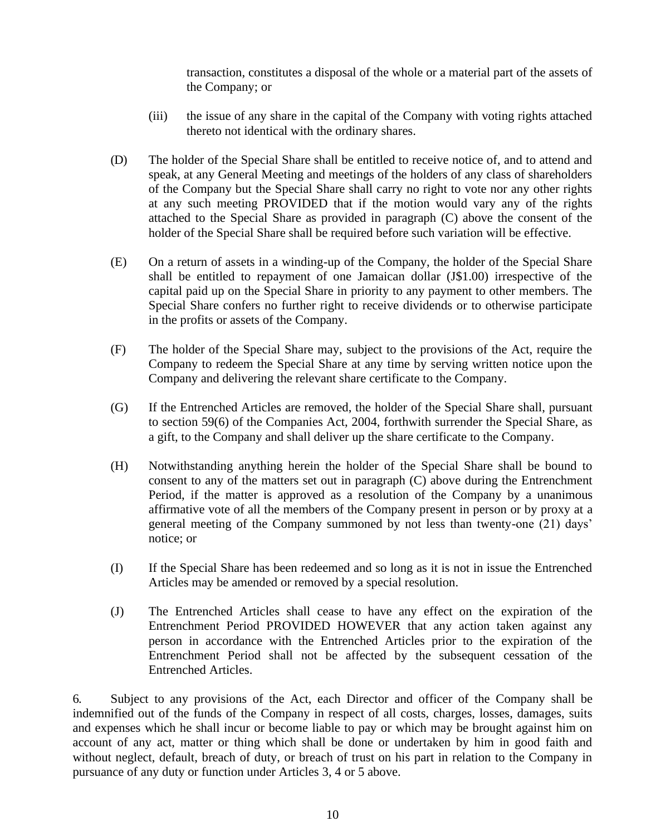transaction, constitutes a disposal of the whole or a material part of the assets of the Company; or

- (iii) the issue of any share in the capital of the Company with voting rights attached thereto not identical with the ordinary shares.
- (D) The holder of the Special Share shall be entitled to receive notice of, and to attend and speak, at any General Meeting and meetings of the holders of any class of shareholders of the Company but the Special Share shall carry no right to vote nor any other rights at any such meeting PROVIDED that if the motion would vary any of the rights attached to the Special Share as provided in paragraph (C) above the consent of the holder of the Special Share shall be required before such variation will be effective.
- (E) On a return of assets in a winding-up of the Company, the holder of the Special Share shall be entitled to repayment of one Jamaican dollar (J\$1.00) irrespective of the capital paid up on the Special Share in priority to any payment to other members. The Special Share confers no further right to receive dividends or to otherwise participate in the profits or assets of the Company.
- (F) The holder of the Special Share may, subject to the provisions of the Act, require the Company to redeem the Special Share at any time by serving written notice upon the Company and delivering the relevant share certificate to the Company.
- (G) If the Entrenched Articles are removed, the holder of the Special Share shall, pursuant to section 59(6) of the Companies Act, 2004, forthwith surrender the Special Share, as a gift, to the Company and shall deliver up the share certificate to the Company.
- (H) Notwithstanding anything herein the holder of the Special Share shall be bound to consent to any of the matters set out in paragraph (C) above during the Entrenchment Period, if the matter is approved as a resolution of the Company by a unanimous affirmative vote of all the members of the Company present in person or by proxy at a general meeting of the Company summoned by not less than twenty-one (21) days' notice; or
- (I) If the Special Share has been redeemed and so long as it is not in issue the Entrenched Articles may be amended or removed by a special resolution.
- (J) The Entrenched Articles shall cease to have any effect on the expiration of the Entrenchment Period PROVIDED HOWEVER that any action taken against any person in accordance with the Entrenched Articles prior to the expiration of the Entrenchment Period shall not be affected by the subsequent cessation of the Entrenched Articles.

6. Subject to any provisions of the Act, each Director and officer of the Company shall be indemnified out of the funds of the Company in respect of all costs, charges, losses, damages, suits and expenses which he shall incur or become liable to pay or which may be brought against him on account of any act, matter or thing which shall be done or undertaken by him in good faith and without neglect, default, breach of duty, or breach of trust on his part in relation to the Company in pursuance of any duty or function under Articles 3, 4 or 5 above.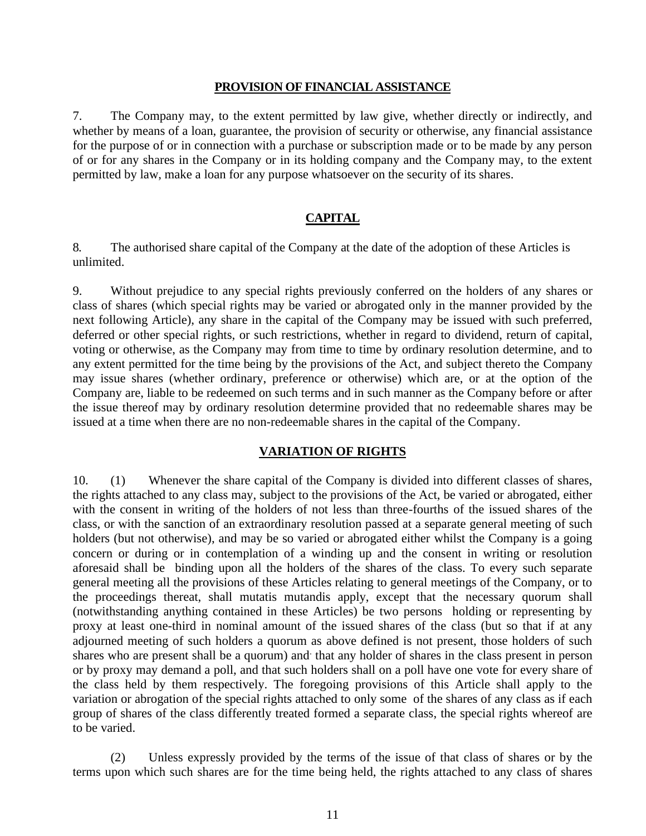#### **PROVISION OF FINANCIAL ASSISTANCE**

7. The Company may, to the extent permitted by law give, whether directly or indirectly, and whether by means of a loan, guarantee, the provision of security or otherwise, any financial assistance for the purpose of or in connection with a purchase or subscription made or to be made by any person of or for any shares in the Company or in its holding company and the Company may, to the extent permitted by law, make a loan for any purpose whatsoever on the security of its shares.

#### **CAPITAL**

8. The authorised share capital of the Company at the date of the adoption of these Articles is unlimited.

9. Without prejudice to any special rights previously conferred on the holders of any shares or class of shares (which special rights may be varied or abrogated only in the manner provided by the next following Article), any share in the capital of the Company may be issued with such preferred, deferred or other special rights, or such restrictions, whether in regard to dividend, return of capital, voting or otherwise, as the Company may from time to time by ordinary resolution determine, and to any extent permitted for the time being by the provisions of the Act, and subject thereto the Company may issue shares (whether ordinary, preference or otherwise) which are, or at the option of the Company are, liable to be redeemed on such terms and in such manner as the Company before or after the issue thereof may by ordinary resolution determine provided that no redeemable shares may be issued at a time when there are no non-redeemable shares in the capital of the Company.

#### **VARIATION OF RIGHTS**

10. (1) Whenever the share capital of the Company is divided into different classes of shares, the rights attached to any class may, subject to the provisions of the Act, be varied or abrogated, either with the consent in writing of the holders of not less than three-fourths of the issued shares of the class, or with the sanction of an extraordinary resolution passed at a separate general meeting of such holders (but not otherwise), and may be so varied or abrogated either whilst the Company is a going concern or during or in contemplation of a winding up and the consent in writing or resolution aforesaid shall be binding upon all the holders of the shares of the class. To every such separate general meeting all the provisions of these Articles relating to general meetings of the Company, or to the proceedings thereat, shall mutatis mutandis apply, except that the necessary quorum shall (notwithstanding anything contained in these Articles) be two persons holding or representing by proxy at least one-third in nominal amount of the issued shares of the class (but so that if at any adjourned meeting of such holders a quorum as above defined is not present, those holders of such shares who are present shall be a quorum) and that any holder of shares in the class present in person or by proxy may demand a poll, and that such holders shall on a poll have one vote for every share of the class held by them respectively. The foregoing provisions of this Article shall apply to the variation or abrogation of the special rights attached to only some of the shares of any class as if each group of shares of the class differently treated formed a separate class, the special rights whereof are to be varied.

(2) Unless expressly provided by the terms of the issue of that class of shares or by the terms upon which such shares are for the time being held, the rights attached to any class of shares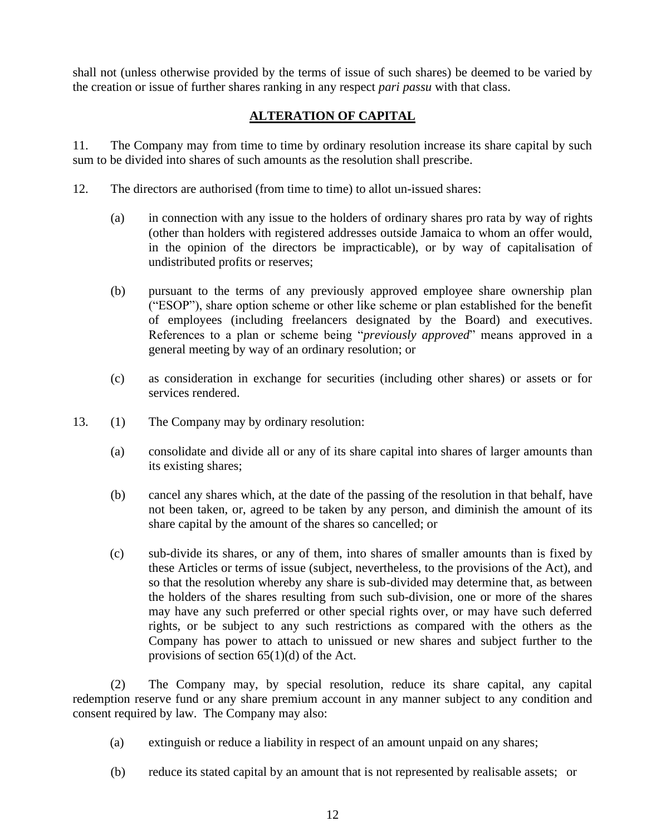shall not (unless otherwise provided by the terms of issue of such shares) be deemed to be varied by the creation or issue of further shares ranking in any respect *pari passu* with that class.

# **ALTERATION OF CAPITAL**

11. The Company may from time to time by ordinary resolution increase its share capital by such sum to be divided into shares of such amounts as the resolution shall prescribe.

- 12. The directors are authorised (from time to time) to allot un-issued shares:
	- (a) in connection with any issue to the holders of ordinary shares pro rata by way of rights (other than holders with registered addresses outside Jamaica to whom an offer would, in the opinion of the directors be impracticable), or by way of capitalisation of undistributed profits or reserves;
	- (b) pursuant to the terms of any previously approved employee share ownership plan ("ESOP"), share option scheme or other like scheme or plan established for the benefit of employees (including freelancers designated by the Board) and executives. References to a plan or scheme being "*previously approved*" means approved in a general meeting by way of an ordinary resolution; or
	- (c) as consideration in exchange for securities (including other shares) or assets or for services rendered.
- 13. (1) The Company may by ordinary resolution:
	- (a) consolidate and divide all or any of its share capital into shares of larger amounts than its existing shares;
	- (b) cancel any shares which, at the date of the passing of the resolution in that behalf, have not been taken, or, agreed to be taken by any person, and diminish the amount of its share capital by the amount of the shares so cancelled; or
	- (c) sub-divide its shares, or any of them, into shares of smaller amounts than is fixed by these Articles or terms of issue (subject, nevertheless, to the provisions of the Act), and so that the resolution whereby any share is sub-divided may determine that, as between the holders of the shares resulting from such sub-division, one or more of the shares may have any such preferred or other special rights over, or may have such deferred rights, or be subject to any such restrictions as compared with the others as the Company has power to attach to unissued or new shares and subject further to the provisions of section  $65(1)(d)$  of the Act.

(2) The Company may, by special resolution, reduce its share capital, any capital redemption reserve fund or any share premium account in any manner subject to any condition and consent required by law. The Company may also:

- (a) extinguish or reduce a liability in respect of an amount unpaid on any shares;
- (b) reduce its stated capital by an amount that is not represented by realisable assets; or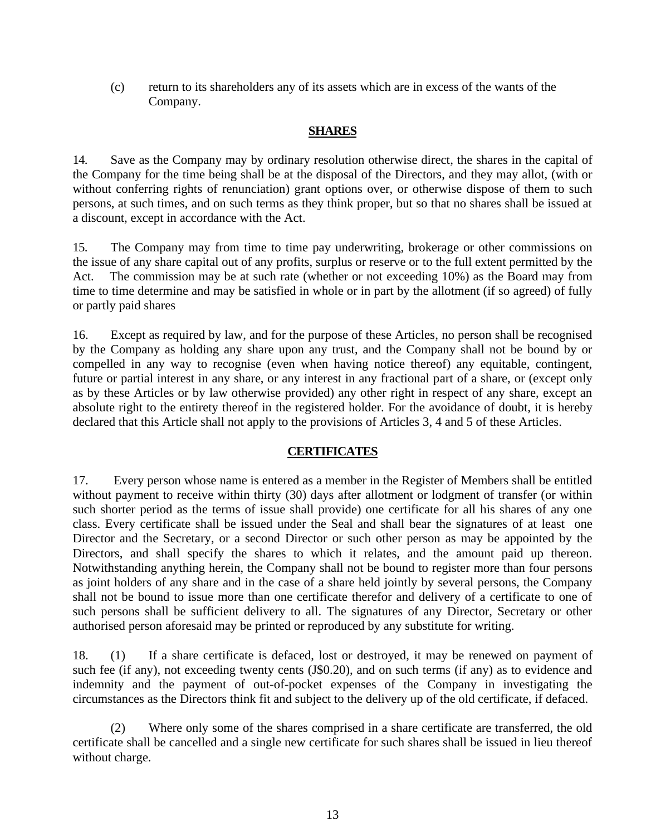(c) return to its shareholders any of its assets which are in excess of the wants of the Company.

#### **SHARES**

14. Save as the Company may by ordinary resolution otherwise direct, the shares in the capital of the Company for the time being shall be at the disposal of the Directors, and they may allot, (with or without conferring rights of renunciation) grant options over, or otherwise dispose of them to such persons, at such times, and on such terms as they think proper, but so that no shares shall be issued at a discount, except in accordance with the Act.

15. The Company may from time to time pay underwriting, brokerage or other commissions on the issue of any share capital out of any profits, surplus or reserve or to the full extent permitted by the Act. The commission may be at such rate (whether or not exceeding 10%) as the Board may from time to time determine and may be satisfied in whole or in part by the allotment (if so agreed) of fully or partly paid shares

16. Except as required by law, and for the purpose of these Articles, no person shall be recognised by the Company as holding any share upon any trust, and the Company shall not be bound by or compelled in any way to recognise (even when having notice thereof) any equitable, contingent, future or partial interest in any share, or any interest in any fractional part of a share, or (except only as by these Articles or by law otherwise provided) any other right in respect of any share, except an absolute right to the entirety thereof in the registered holder. For the avoidance of doubt, it is hereby declared that this Article shall not apply to the provisions of Articles 3, 4 and 5 of these Articles.

#### **CERTIFICATES**

17. Every person whose name is entered as a member in the Register of Members shall be entitled without payment to receive within thirty (30) days after allotment or lodgment of transfer (or within such shorter period as the terms of issue shall provide) one certificate for all his shares of any one class. Every certificate shall be issued under the Seal and shall bear the signatures of at least one Director and the Secretary, or a second Director or such other person as may be appointed by the Directors, and shall specify the shares to which it relates, and the amount paid up thereon. Notwithstanding anything herein, the Company shall not be bound to register more than four persons as joint holders of any share and in the case of a share held jointly by several persons, the Company shall not be bound to issue more than one certificate therefor and delivery of a certificate to one of such persons shall be sufficient delivery to all. The signatures of any Director, Secretary or other authorised person aforesaid may be printed or reproduced by any substitute for writing.

18. (1) If a share certificate is defaced, lost or destroyed, it may be renewed on payment of such fee (if any), not exceeding twenty cents (J\$0.20), and on such terms (if any) as to evidence and indemnity and the payment of out-of-pocket expenses of the Company in investigating the circumstances as the Directors think fit and subject to the delivery up of the old certificate, if defaced.

(2) Where only some of the shares comprised in a share certificate are transferred, the old certificate shall be cancelled and a single new certificate for such shares shall be issued in lieu thereof without charge.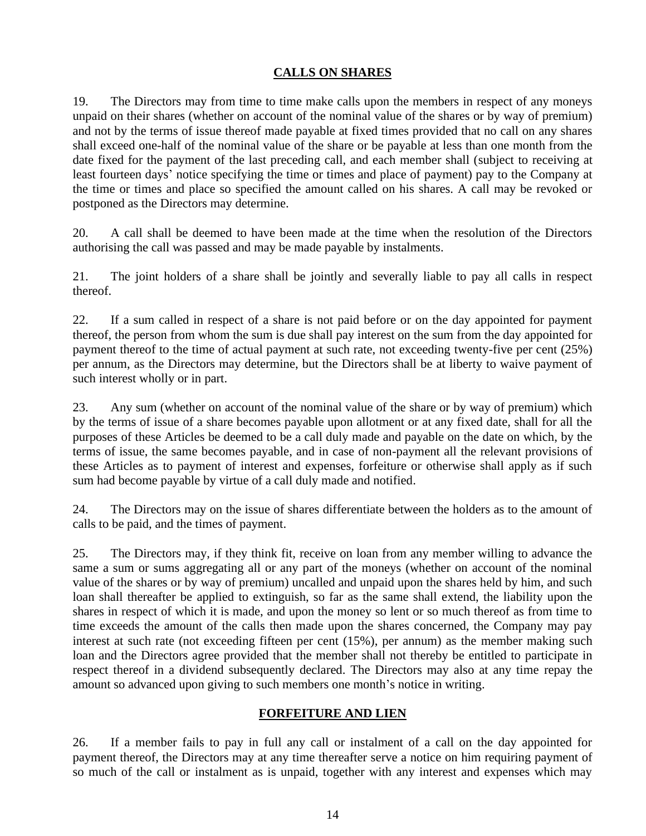## **CALLS ON SHARES**

19. The Directors may from time to time make calls upon the members in respect of any moneys unpaid on their shares (whether on account of the nominal value of the shares or by way of premium) and not by the terms of issue thereof made payable at fixed times provided that no call on any shares shall exceed one-half of the nominal value of the share or be payable at less than one month from the date fixed for the payment of the last preceding call, and each member shall (subject to receiving at least fourteen days' notice specifying the time or times and place of payment) pay to the Company at the time or times and place so specified the amount called on his shares. A call may be revoked or postponed as the Directors may determine.

20. A call shall be deemed to have been made at the time when the resolution of the Directors authorising the call was passed and may be made payable by instalments.

21. The joint holders of a share shall be jointly and severally liable to pay all calls in respect thereof.

22. If a sum called in respect of a share is not paid before or on the day appointed for payment thereof, the person from whom the sum is due shall pay interest on the sum from the day appointed for payment thereof to the time of actual payment at such rate, not exceeding twenty-five per cent (25%) per annum, as the Directors may determine, but the Directors shall be at liberty to waive payment of such interest wholly or in part.

23. Any sum (whether on account of the nominal value of the share or by way of premium) which by the terms of issue of a share becomes payable upon allotment or at any fixed date, shall for all the purposes of these Articles be deemed to be a call duly made and payable on the date on which, by the terms of issue, the same becomes payable, and in case of non-payment all the relevant provisions of these Articles as to payment of interest and expenses, forfeiture or otherwise shall apply as if such sum had become payable by virtue of a call duly made and notified.

24. The Directors may on the issue of shares differentiate between the holders as to the amount of calls to be paid, and the times of payment.

25. The Directors may, if they think fit, receive on loan from any member willing to advance the same a sum or sums aggregating all or any part of the moneys (whether on account of the nominal value of the shares or by way of premium) uncalled and unpaid upon the shares held by him, and such loan shall thereafter be applied to extinguish, so far as the same shall extend, the liability upon the shares in respect of which it is made, and upon the money so lent or so much thereof as from time to time exceeds the amount of the calls then made upon the shares concerned, the Company may pay interest at such rate (not exceeding fifteen per cent (15%), per annum) as the member making such loan and the Directors agree provided that the member shall not thereby be entitled to participate in respect thereof in a dividend subsequently declared. The Directors may also at any time repay the amount so advanced upon giving to such members one month's notice in writing.

### **FORFEITURE AND LIEN**

26. If a member fails to pay in full any call or instalment of a call on the day appointed for payment thereof, the Directors may at any time thereafter serve a notice on him requiring payment of so much of the call or instalment as is unpaid, together with any interest and expenses which may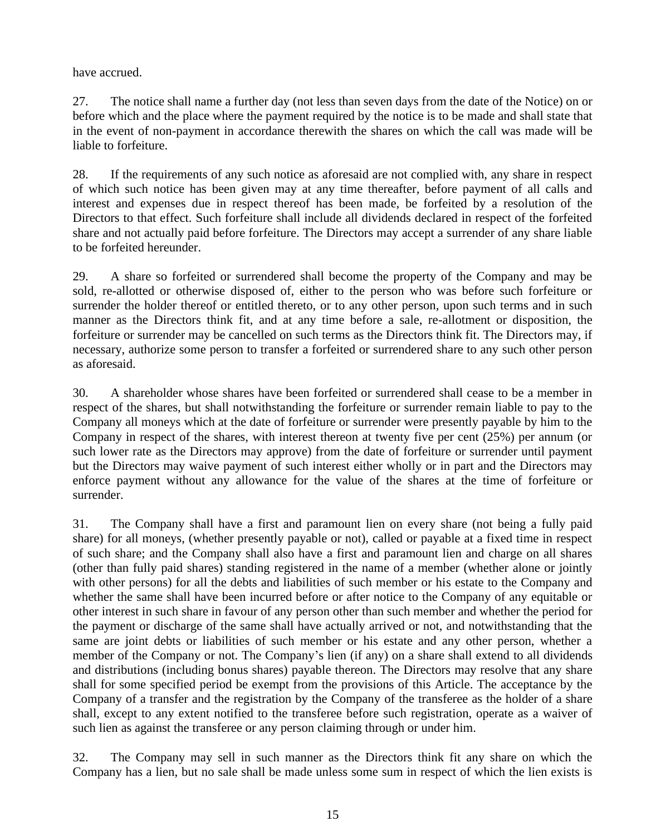have accrued.

27. The notice shall name a further day (not less than seven days from the date of the Notice) on or before which and the place where the payment required by the notice is to be made and shall state that in the event of non-payment in accordance therewith the shares on which the call was made will be liable to forfeiture.

28. If the requirements of any such notice as aforesaid are not complied with, any share in respect of which such notice has been given may at any time thereafter, before payment of all calls and interest and expenses due in respect thereof has been made, be forfeited by a resolution of the Directors to that effect. Such forfeiture shall include all dividends declared in respect of the forfeited share and not actually paid before forfeiture. The Directors may accept a surrender of any share liable to be forfeited hereunder.

29. A share so forfeited or surrendered shall become the property of the Company and may be sold, re-allotted or otherwise disposed of, either to the person who was before such forfeiture or surrender the holder thereof or entitled thereto, or to any other person, upon such terms and in such manner as the Directors think fit, and at any time before a sale, re-allotment or disposition, the forfeiture or surrender may be cancelled on such terms as the Directors think fit. The Directors may, if necessary, authorize some person to transfer a forfeited or surrendered share to any such other person as aforesaid.

30. A shareholder whose shares have been forfeited or surrendered shall cease to be a member in respect of the shares, but shall notwithstanding the forfeiture or surrender remain liable to pay to the Company all moneys which at the date of forfeiture or surrender were presently payable by him to the Company in respect of the shares, with interest thereon at twenty five per cent (25%) per annum (or such lower rate as the Directors may approve) from the date of forfeiture or surrender until payment but the Directors may waive payment of such interest either wholly or in part and the Directors may enforce payment without any allowance for the value of the shares at the time of forfeiture or surrender.

31. The Company shall have a first and paramount lien on every share (not being a fully paid share) for all moneys, (whether presently payable or not), called or payable at a fixed time in respect of such share; and the Company shall also have a first and paramount lien and charge on all shares (other than fully paid shares) standing registered in the name of a member (whether alone or jointly with other persons) for all the debts and liabilities of such member or his estate to the Company and whether the same shall have been incurred before or after notice to the Company of any equitable or other interest in such share in favour of any person other than such member and whether the period for the payment or discharge of the same shall have actually arrived or not, and notwithstanding that the same are joint debts or liabilities of such member or his estate and any other person, whether a member of the Company or not. The Company's lien (if any) on a share shall extend to all dividends and distributions (including bonus shares) payable thereon. The Directors may resolve that any share shall for some specified period be exempt from the provisions of this Article. The acceptance by the Company of a transfer and the registration by the Company of the transferee as the holder of a share shall, except to any extent notified to the transferee before such registration, operate as a waiver of such lien as against the transferee or any person claiming through or under him.

32. The Company may sell in such manner as the Directors think fit any share on which the Company has a lien, but no sale shall be made unless some sum in respect of which the lien exists is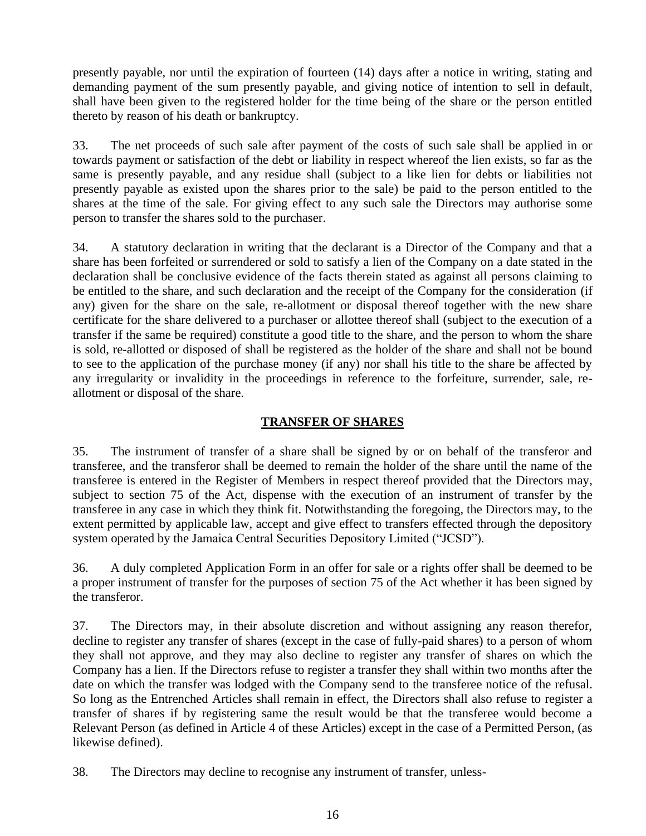presently payable, nor until the expiration of fourteen (14) days after a notice in writing, stating and demanding payment of the sum presently payable, and giving notice of intention to sell in default, shall have been given to the registered holder for the time being of the share or the person entitled thereto by reason of his death or bankruptcy.

33. The net proceeds of such sale after payment of the costs of such sale shall be applied in or towards payment or satisfaction of the debt or liability in respect whereof the lien exists, so far as the same is presently payable, and any residue shall (subject to a like lien for debts or liabilities not presently payable as existed upon the shares prior to the sale) be paid to the person entitled to the shares at the time of the sale. For giving effect to any such sale the Directors may authorise some person to transfer the shares sold to the purchaser.

34. A statutory declaration in writing that the declarant is a Director of the Company and that a share has been forfeited or surrendered or sold to satisfy a lien of the Company on a date stated in the declaration shall be conclusive evidence of the facts therein stated as against all persons claiming to be entitled to the share, and such declaration and the receipt of the Company for the consideration (if any) given for the share on the sale, re-allotment or disposal thereof together with the new share certificate for the share delivered to a purchaser or allottee thereof shall (subject to the execution of a transfer if the same be required) constitute a good title to the share, and the person to whom the share is sold, re-allotted or disposed of shall be registered as the holder of the share and shall not be bound to see to the application of the purchase money (if any) nor shall his title to the share be affected by any irregularity or invalidity in the proceedings in reference to the forfeiture, surrender, sale, reallotment or disposal of the share.

### **TRANSFER OF SHARES**

35. The instrument of transfer of a share shall be signed by or on behalf of the transferor and transferee, and the transferor shall be deemed to remain the holder of the share until the name of the transferee is entered in the Register of Members in respect thereof provided that the Directors may, subject to section 75 of the Act, dispense with the execution of an instrument of transfer by the transferee in any case in which they think fit. Notwithstanding the foregoing, the Directors may, to the extent permitted by applicable law, accept and give effect to transfers effected through the depository system operated by the Jamaica Central Securities Depository Limited ("JCSD").

36. A duly completed Application Form in an offer for sale or a rights offer shall be deemed to be a proper instrument of transfer for the purposes of section 75 of the Act whether it has been signed by the transferor.

37. The Directors may, in their absolute discretion and without assigning any reason therefor, decline to register any transfer of shares (except in the case of fully-paid shares) to a person of whom they shall not approve, and they may also decline to register any transfer of shares on which the Company has a lien. If the Directors refuse to register a transfer they shall within two months after the date on which the transfer was lodged with the Company send to the transferee notice of the refusal. So long as the Entrenched Articles shall remain in effect, the Directors shall also refuse to register a transfer of shares if by registering same the result would be that the transferee would become a Relevant Person (as defined in Article 4 of these Articles) except in the case of a Permitted Person, (as likewise defined).

38. The Directors may decline to recognise any instrument of transfer, unless-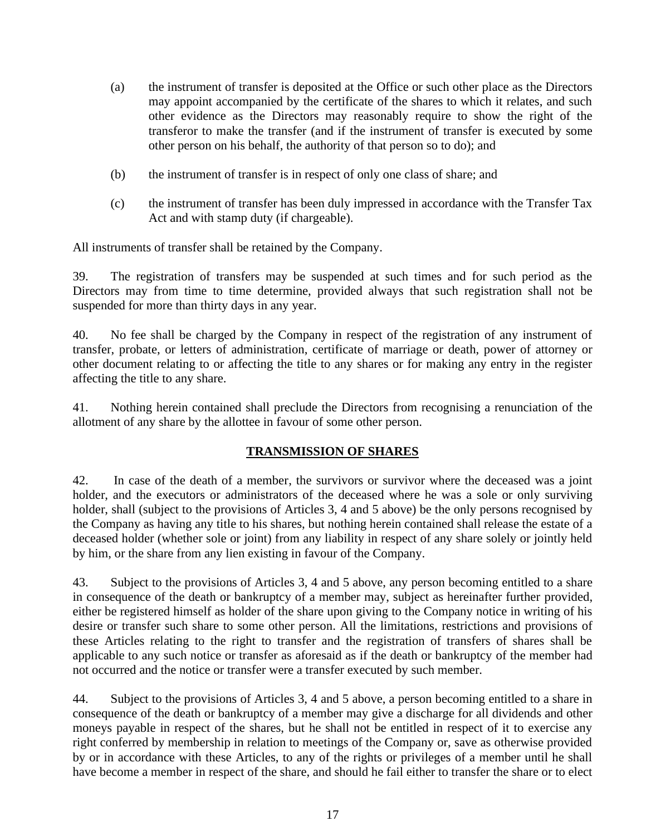- (a) the instrument of transfer is deposited at the Office or such other place as the Directors may appoint accompanied by the certificate of the shares to which it relates, and such other evidence as the Directors may reasonably require to show the right of the transferor to make the transfer (and if the instrument of transfer is executed by some other person on his behalf, the authority of that person so to do); and
- (b) the instrument of transfer is in respect of only one class of share; and
- (c) the instrument of transfer has been duly impressed in accordance with the Transfer Tax Act and with stamp duty (if chargeable).

All instruments of transfer shall be retained by the Company.

39. The registration of transfers may be suspended at such times and for such period as the Directors may from time to time determine, provided always that such registration shall not be suspended for more than thirty days in any year.

40. No fee shall be charged by the Company in respect of the registration of any instrument of transfer, probate, or letters of administration, certificate of marriage or death, power of attorney or other document relating to or affecting the title to any shares or for making any entry in the register affecting the title to any share.

41. Nothing herein contained shall preclude the Directors from recognising a renunciation of the allotment of any share by the allottee in favour of some other person.

### **TRANSMISSION OF SHARES**

42. In case of the death of a member, the survivors or survivor where the deceased was a joint holder, and the executors or administrators of the deceased where he was a sole or only surviving holder, shall (subject to the provisions of Articles 3, 4 and 5 above) be the only persons recognised by the Company as having any title to his shares, but nothing herein contained shall release the estate of a deceased holder (whether sole or joint) from any liability in respect of any share solely or jointly held by him, or the share from any lien existing in favour of the Company.

43. Subject to the provisions of Articles 3, 4 and 5 above, any person becoming entitled to a share in consequence of the death or bankruptcy of a member may, subject as hereinafter further provided, either be registered himself as holder of the share upon giving to the Company notice in writing of his desire or transfer such share to some other person. All the limitations, restrictions and provisions of these Articles relating to the right to transfer and the registration of transfers of shares shall be applicable to any such notice or transfer as aforesaid as if the death or bankruptcy of the member had not occurred and the notice or transfer were a transfer executed by such member.

44. Subject to the provisions of Articles 3, 4 and 5 above, a person becoming entitled to a share in consequence of the death or bankruptcy of a member may give a discharge for all dividends and other moneys payable in respect of the shares, but he shall not be entitled in respect of it to exercise any right conferred by membership in relation to meetings of the Company or, save as otherwise provided by or in accordance with these Articles, to any of the rights or privileges of a member until he shall have become a member in respect of the share, and should he fail either to transfer the share or to elect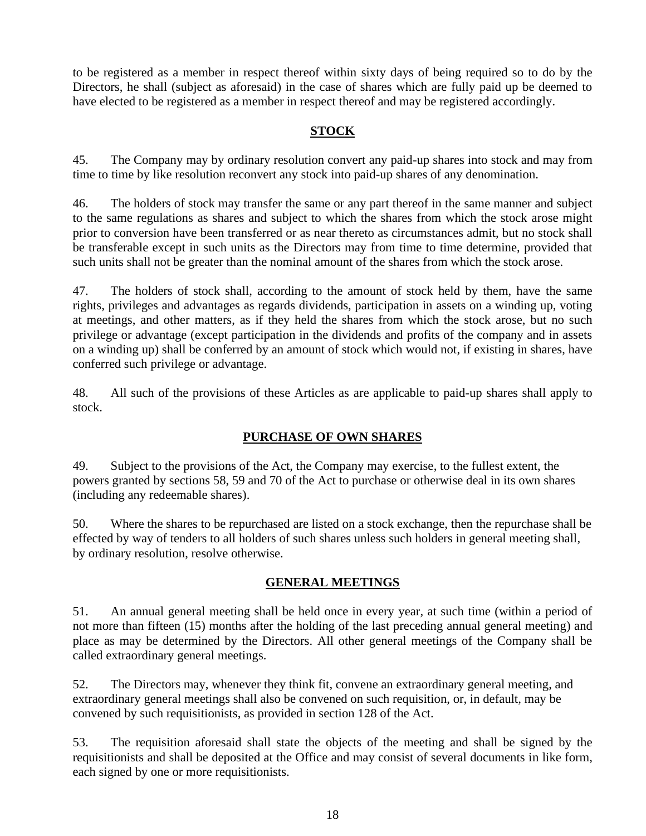to be registered as a member in respect thereof within sixty days of being required so to do by the Directors, he shall (subject as aforesaid) in the case of shares which are fully paid up be deemed to have elected to be registered as a member in respect thereof and may be registered accordingly.

## **STOCK**

45. The Company may by ordinary resolution convert any paid-up shares into stock and may from time to time by like resolution reconvert any stock into paid-up shares of any denomination.

46. The holders of stock may transfer the same or any part thereof in the same manner and subject to the same regulations as shares and subject to which the shares from which the stock arose might prior to conversion have been transferred or as near thereto as circumstances admit, but no stock shall be transferable except in such units as the Directors may from time to time determine, provided that such units shall not be greater than the nominal amount of the shares from which the stock arose.

47. The holders of stock shall, according to the amount of stock held by them, have the same rights, privileges and advantages as regards dividends, participation in assets on a winding up, voting at meetings, and other matters, as if they held the shares from which the stock arose, but no such privilege or advantage (except participation in the dividends and profits of the company and in assets on a winding up) shall be conferred by an amount of stock which would not, if existing in shares, have conferred such privilege or advantage.

48. All such of the provisions of these Articles as are applicable to paid-up shares shall apply to stock.

# **PURCHASE OF OWN SHARES**

49. Subject to the provisions of the Act, the Company may exercise, to the fullest extent, the powers granted by sections 58, 59 and 70 of the Act to purchase or otherwise deal in its own shares (including any redeemable shares).

50. Where the shares to be repurchased are listed on a stock exchange, then the repurchase shall be effected by way of tenders to all holders of such shares unless such holders in general meeting shall, by ordinary resolution, resolve otherwise.

# **GENERAL MEETINGS**

51. An annual general meeting shall be held once in every year, at such time (within a period of not more than fifteen (15) months after the holding of the last preceding annual general meeting) and place as may be determined by the Directors. All other general meetings of the Company shall be called extraordinary general meetings.

52. The Directors may, whenever they think fit, convene an extraordinary general meeting, and extraordinary general meetings shall also be convened on such requisition, or, in default, may be convened by such requisitionists, as provided in section 128 of the Act.

53. The requisition aforesaid shall state the objects of the meeting and shall be signed by the requisitionists and shall be deposited at the Office and may consist of several documents in like form, each signed by one or more requisitionists.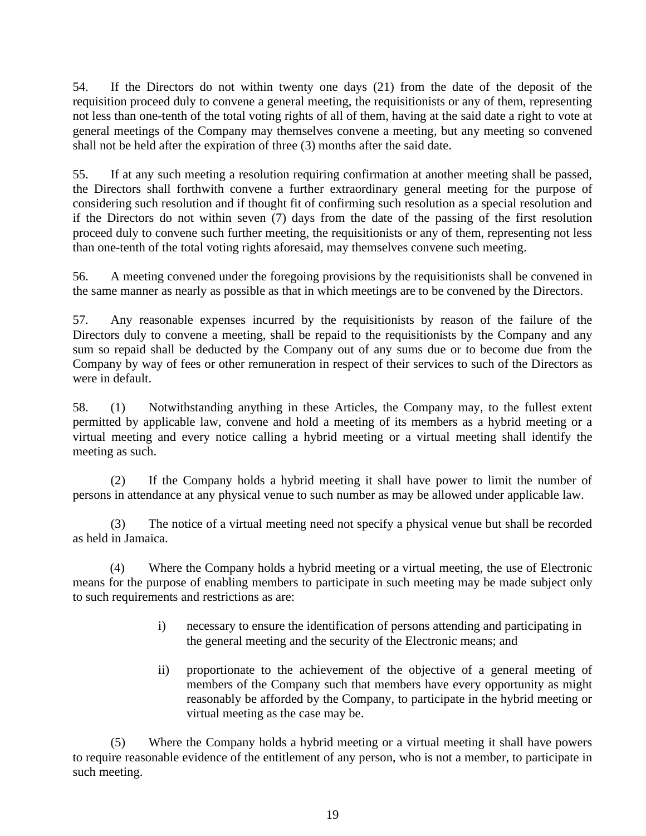54. If the Directors do not within twenty one days (21) from the date of the deposit of the requisition proceed duly to convene a general meeting, the requisitionists or any of them, representing not less than one-tenth of the total voting rights of all of them, having at the said date a right to vote at general meetings of the Company may themselves convene a meeting, but any meeting so convened shall not be held after the expiration of three (3) months after the said date.

55. If at any such meeting a resolution requiring confirmation at another meeting shall be passed, the Directors shall forthwith convene a further extraordinary general meeting for the purpose of considering such resolution and if thought fit of confirming such resolution as a special resolution and if the Directors do not within seven (7) days from the date of the passing of the first resolution proceed duly to convene such further meeting, the requisitionists or any of them, representing not less than one-tenth of the total voting rights aforesaid, may themselves convene such meeting.

56. A meeting convened under the foregoing provisions by the requisitionists shall be convened in the same manner as nearly as possible as that in which meetings are to be convened by the Directors.

57. Any reasonable expenses incurred by the requisitionists by reason of the failure of the Directors duly to convene a meeting, shall be repaid to the requisitionists by the Company and any sum so repaid shall be deducted by the Company out of any sums due or to become due from the Company by way of fees or other remuneration in respect of their services to such of the Directors as were in default.

58. (1) Notwithstanding anything in these Articles, the Company may, to the fullest extent permitted by applicable law, convene and hold a meeting of its members as a hybrid meeting or a virtual meeting and every notice calling a hybrid meeting or a virtual meeting shall identify the meeting as such.

(2) If the Company holds a hybrid meeting it shall have power to limit the number of persons in attendance at any physical venue to such number as may be allowed under applicable law.

(3) The notice of a virtual meeting need not specify a physical venue but shall be recorded as held in Jamaica.

(4) Where the Company holds a hybrid meeting or a virtual meeting, the use of Electronic means for the purpose of enabling members to participate in such meeting may be made subject only to such requirements and restrictions as are:

- i) necessary to ensure the identification of persons attending and participating in the general meeting and the security of the Electronic means; and
- ii) proportionate to the achievement of the objective of a general meeting of members of the Company such that members have every opportunity as might reasonably be afforded by the Company, to participate in the hybrid meeting or virtual meeting as the case may be.

(5) Where the Company holds a hybrid meeting or a virtual meeting it shall have powers to require reasonable evidence of the entitlement of any person, who is not a member, to participate in such meeting.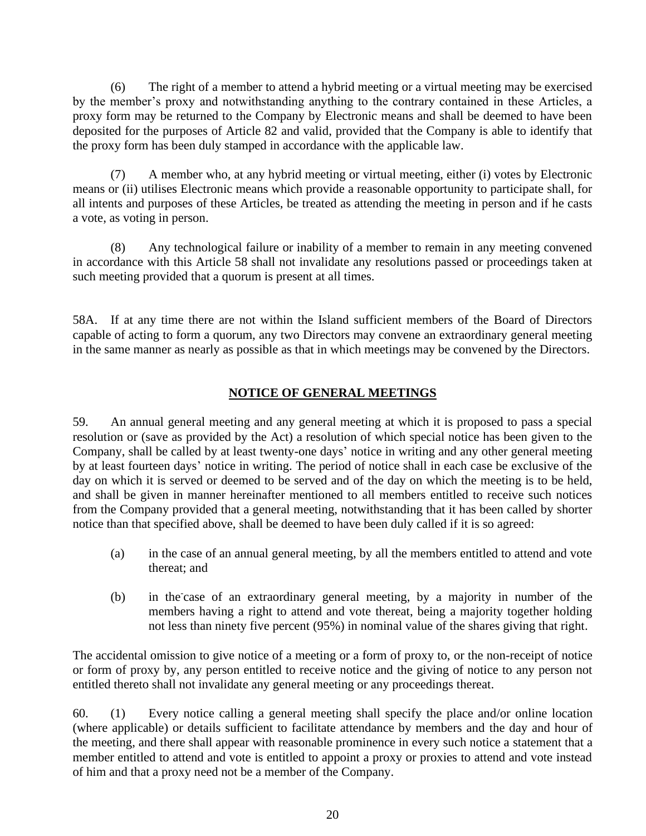(6) The right of a member to attend a hybrid meeting or a virtual meeting may be exercised by the member's proxy and notwithstanding anything to the contrary contained in these Articles, a proxy form may be returned to the Company by Electronic means and shall be deemed to have been deposited for the purposes of Article 82 and valid, provided that the Company is able to identify that the proxy form has been duly stamped in accordance with the applicable law.

(7) A member who, at any hybrid meeting or virtual meeting, either (i) votes by Electronic means or (ii) utilises Electronic means which provide a reasonable opportunity to participate shall, for all intents and purposes of these Articles, be treated as attending the meeting in person and if he casts a vote, as voting in person.

(8) Any technological failure or inability of a member to remain in any meeting convened in accordance with this Article 58 shall not invalidate any resolutions passed or proceedings taken at such meeting provided that a quorum is present at all times.

58A. If at any time there are not within the Island sufficient members of the Board of Directors capable of acting to form a quorum, any two Directors may convene an extraordinary general meeting in the same manner as nearly as possible as that in which meetings may be convened by the Directors.

### **NOTICE OF GENERAL MEETINGS**

59. An annual general meeting and any general meeting at which it is proposed to pass a special resolution or (save as provided by the Act) a resolution of which special notice has been given to the Company, shall be called by at least twenty-one days' notice in writing and any other general meeting by at least fourteen days' notice in writing. The period of notice shall in each case be exclusive of the day on which it is served or deemed to be served and of the day on which the meeting is to be held, and shall be given in manner hereinafter mentioned to all members entitled to receive such notices from the Company provided that a general meeting, notwithstanding that it has been called by shorter notice than that specified above, shall be deemed to have been duly called if it is so agreed:

- (a) in the case of an annual general meeting, by all the members entitled to attend and vote thereat; and
- (b) in the case of an extraordinary general meeting, by a majority in number of the members having a right to attend and vote thereat, being a majority together holding not less than ninety five percent (95%) in nominal value of the shares giving that right.

The accidental omission to give notice of a meeting or a form of proxy to, or the non-receipt of notice or form of proxy by, any person entitled to receive notice and the giving of notice to any person not entitled thereto shall not invalidate any general meeting or any proceedings thereat.

60. (1) Every notice calling a general meeting shall specify the place and/or online location (where applicable) or details sufficient to facilitate attendance by members and the day and hour of the meeting, and there shall appear with reasonable prominence in every such notice a statement that a member entitled to attend and vote is entitled to appoint a proxy or proxies to attend and vote instead of him and that a proxy need not be a member of the Company.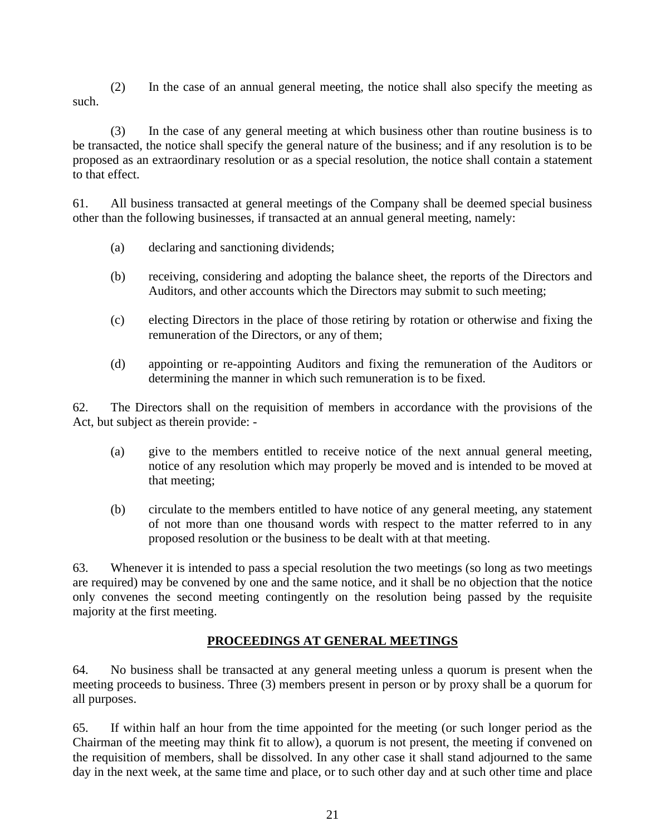(2) In the case of an annual general meeting, the notice shall also specify the meeting as such.

(3) In the case of any general meeting at which business other than routine business is to be transacted, the notice shall specify the general nature of the business; and if any resolution is to be proposed as an extraordinary resolution or as a special resolution, the notice shall contain a statement to that effect.

61. All business transacted at general meetings of the Company shall be deemed special business other than the following businesses, if transacted at an annual general meeting, namely:

- (a) declaring and sanctioning dividends;
- (b) receiving, considering and adopting the balance sheet, the reports of the Directors and Auditors, and other accounts which the Directors may submit to such meeting;
- (c) electing Directors in the place of those retiring by rotation or otherwise and fixing the remuneration of the Directors, or any of them;
- (d) appointing or re-appointing Auditors and fixing the remuneration of the Auditors or determining the manner in which such remuneration is to be fixed.

62. The Directors shall on the requisition of members in accordance with the provisions of the Act, but subject as therein provide: -

- (a) give to the members entitled to receive notice of the next annual general meeting, notice of any resolution which may properly be moved and is intended to be moved at that meeting;
- (b) circulate to the members entitled to have notice of any general meeting, any statement of not more than one thousand words with respect to the matter referred to in any proposed resolution or the business to be dealt with at that meeting.

63. Whenever it is intended to pass a special resolution the two meetings (so long as two meetings are required) may be convened by one and the same notice, and it shall be no objection that the notice only convenes the second meeting contingently on the resolution being passed by the requisite majority at the first meeting.

### **PROCEEDINGS AT GENERAL MEETINGS**

64. No business shall be transacted at any general meeting unless a quorum is present when the meeting proceeds to business. Three (3) members present in person or by proxy shall be a quorum for all purposes.

65. If within half an hour from the time appointed for the meeting (or such longer period as the Chairman of the meeting may think fit to allow), a quorum is not present, the meeting if convened on the requisition of members, shall be dissolved. In any other case it shall stand adjourned to the same day in the next week, at the same time and place, or to such other day and at such other time and place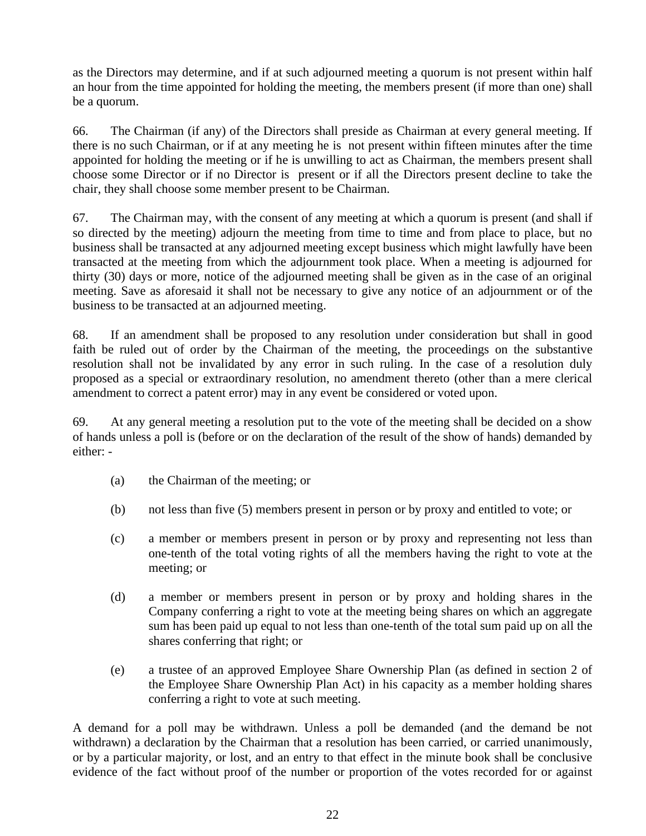as the Directors may determine, and if at such adjourned meeting a quorum is not present within half an hour from the time appointed for holding the meeting, the members present (if more than one) shall be a quorum.

66. The Chairman (if any) of the Directors shall preside as Chairman at every general meeting. If there is no such Chairman, or if at any meeting he is not present within fifteen minutes after the time appointed for holding the meeting or if he is unwilling to act as Chairman, the members present shall choose some Director or if no Director is present or if all the Directors present decline to take the chair, they shall choose some member present to be Chairman.

67. The Chairman may, with the consent of any meeting at which a quorum is present (and shall if so directed by the meeting) adjourn the meeting from time to time and from place to place, but no business shall be transacted at any adjourned meeting except business which might lawfully have been transacted at the meeting from which the adjournment took place. When a meeting is adjourned for thirty (30) days or more, notice of the adjourned meeting shall be given as in the case of an original meeting. Save as aforesaid it shall not be necessary to give any notice of an adjournment or of the business to be transacted at an adjourned meeting.

68. If an amendment shall be proposed to any resolution under consideration but shall in good faith be ruled out of order by the Chairman of the meeting, the proceedings on the substantive resolution shall not be invalidated by any error in such ruling. In the case of a resolution duly proposed as a special or extraordinary resolution, no amendment thereto (other than a mere clerical amendment to correct a patent error) may in any event be considered or voted upon.

69. At any general meeting a resolution put to the vote of the meeting shall be decided on a show of hands unless a poll is (before or on the declaration of the result of the show of hands) demanded by either: -

- (a) the Chairman of the meeting; or
- (b) not less than five (5) members present in person or by proxy and entitled to vote; or
- (c) a member or members present in person or by proxy and representing not less than one-tenth of the total voting rights of all the members having the right to vote at the meeting; or
- (d) a member or members present in person or by proxy and holding shares in the Company conferring a right to vote at the meeting being shares on which an aggregate sum has been paid up equal to not less than one-tenth of the total sum paid up on all the shares conferring that right; or
- (e) a trustee of an approved Employee Share Ownership Plan (as defined in section 2 of the Employee Share Ownership Plan Act) in his capacity as a member holding shares conferring a right to vote at such meeting.

A demand for a poll may be withdrawn. Unless a poll be demanded (and the demand be not withdrawn) a declaration by the Chairman that a resolution has been carried, or carried unanimously, or by a particular majority, or lost, and an entry to that effect in the minute book shall be conclusive evidence of the fact without proof of the number or proportion of the votes recorded for or against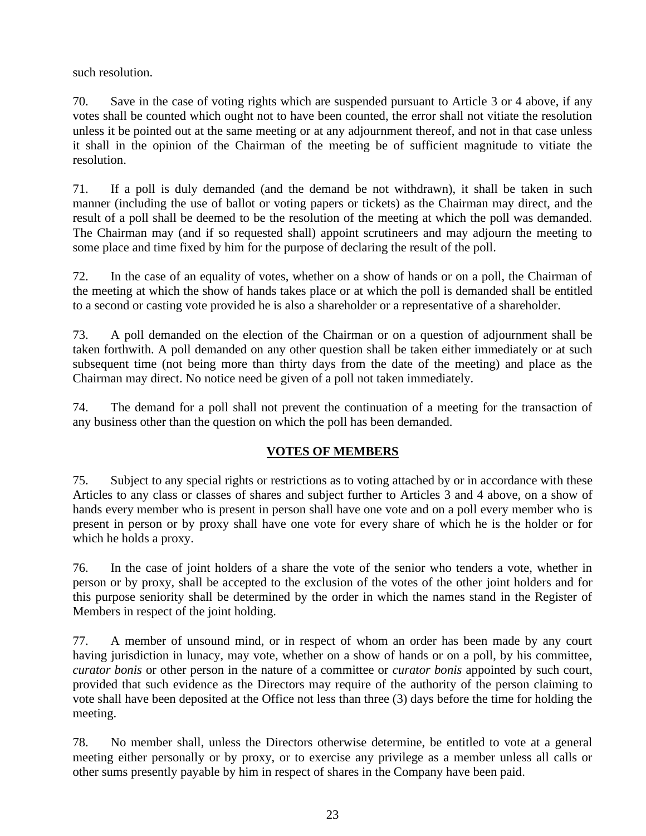such resolution.

70. Save in the case of voting rights which are suspended pursuant to Article 3 or 4 above, if any votes shall be counted which ought not to have been counted, the error shall not vitiate the resolution unless it be pointed out at the same meeting or at any adjournment thereof, and not in that case unless it shall in the opinion of the Chairman of the meeting be of sufficient magnitude to vitiate the resolution.

71. If a poll is duly demanded (and the demand be not withdrawn), it shall be taken in such manner (including the use of ballot or voting papers or tickets) as the Chairman may direct, and the result of a poll shall be deemed to be the resolution of the meeting at which the poll was demanded. The Chairman may (and if so requested shall) appoint scrutineers and may adjourn the meeting to some place and time fixed by him for the purpose of declaring the result of the poll.

72. In the case of an equality of votes, whether on a show of hands or on a poll, the Chairman of the meeting at which the show of hands takes place or at which the poll is demanded shall be entitled to a second or casting vote provided he is also a shareholder or a representative of a shareholder.

73. A poll demanded on the election of the Chairman or on a question of adjournment shall be taken forthwith. A poll demanded on any other question shall be taken either immediately or at such subsequent time (not being more than thirty days from the date of the meeting) and place as the Chairman may direct. No notice need be given of a poll not taken immediately.

74. The demand for a poll shall not prevent the continuation of a meeting for the transaction of any business other than the question on which the poll has been demanded.

### **VOTES OF MEMBERS**

75. Subject to any special rights or restrictions as to voting attached by or in accordance with these Articles to any class or classes of shares and subject further to Articles 3 and 4 above, on a show of hands every member who is present in person shall have one vote and on a poll every member who is present in person or by proxy shall have one vote for every share of which he is the holder or for which he holds a proxy.

76. In the case of joint holders of a share the vote of the senior who tenders a vote, whether in person or by proxy, shall be accepted to the exclusion of the votes of the other joint holders and for this purpose seniority shall be determined by the order in which the names stand in the Register of Members in respect of the joint holding.

77. A member of unsound mind, or in respect of whom an order has been made by any court having jurisdiction in lunacy, may vote, whether on a show of hands or on a poll, by his committee, *curator bonis* or other person in the nature of a committee or *curator bonis* appointed by such court, provided that such evidence as the Directors may require of the authority of the person claiming to vote shall have been deposited at the Office not less than three (3) days before the time for holding the meeting.

78. No member shall, unless the Directors otherwise determine, be entitled to vote at a general meeting either personally or by proxy, or to exercise any privilege as a member unless all calls or other sums presently payable by him in respect of shares in the Company have been paid.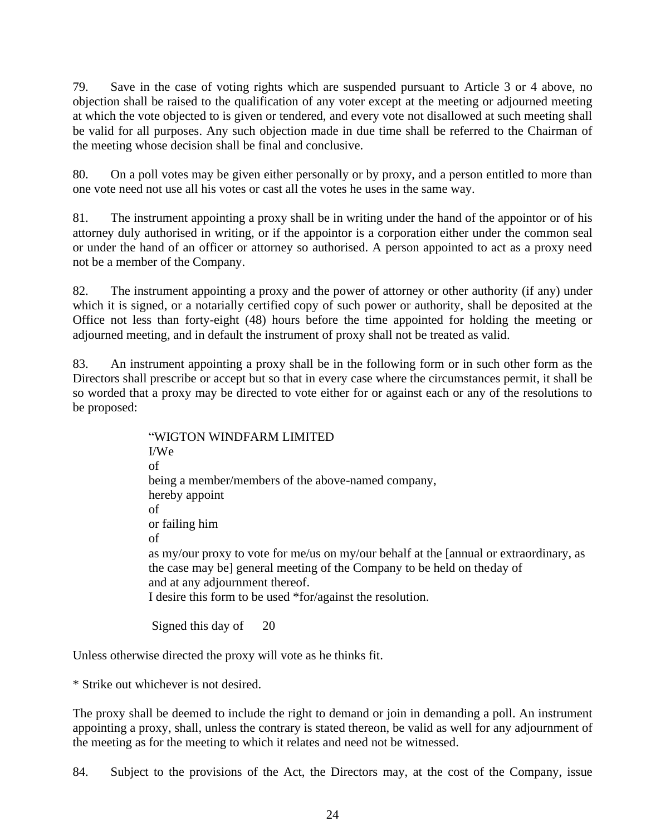79. Save in the case of voting rights which are suspended pursuant to Article 3 or 4 above, no objection shall be raised to the qualification of any voter except at the meeting or adjourned meeting at which the vote objected to is given or tendered, and every vote not disallowed at such meeting shall be valid for all purposes. Any such objection made in due time shall be referred to the Chairman of the meeting whose decision shall be final and conclusive.

80. On a poll votes may be given either personally or by proxy, and a person entitled to more than one vote need not use all his votes or cast all the votes he uses in the same way.

81. The instrument appointing a proxy shall be in writing under the hand of the appointor or of his attorney duly authorised in writing, or if the appointor is a corporation either under the common seal or under the hand of an officer or attorney so authorised. A person appointed to act as a proxy need not be a member of the Company.

82. The instrument appointing a proxy and the power of attorney or other authority (if any) under which it is signed, or a notarially certified copy of such power or authority, shall be deposited at the Office not less than forty-eight (48) hours before the time appointed for holding the meeting or adjourned meeting, and in default the instrument of proxy shall not be treated as valid.

83. An instrument appointing a proxy shall be in the following form or in such other form as the Directors shall prescribe or accept but so that in every case where the circumstances permit, it shall be so worded that a proxy may be directed to vote either for or against each or any of the resolutions to be proposed:

> "WIGTON WINDFARM LIMITED I/We of being a member/members of the above-named company, hereby appoint of or failing him of as my/our proxy to vote for me/us on my/our behalf at the [annual or extraordinary, as the case may be] general meeting of the Company to be held on theday of and at any adjournment thereof. I desire this form to be used \*for/against the resolution.

Signed this day of 20

Unless otherwise directed the proxy will vote as he thinks fit.

\* Strike out whichever is not desired.

The proxy shall be deemed to include the right to demand or join in demanding a poll. An instrument appointing a proxy, shall, unless the contrary is stated thereon, be valid as well for any adjournment of the meeting as for the meeting to which it relates and need not be witnessed.

84. Subject to the provisions of the Act, the Directors may, at the cost of the Company, issue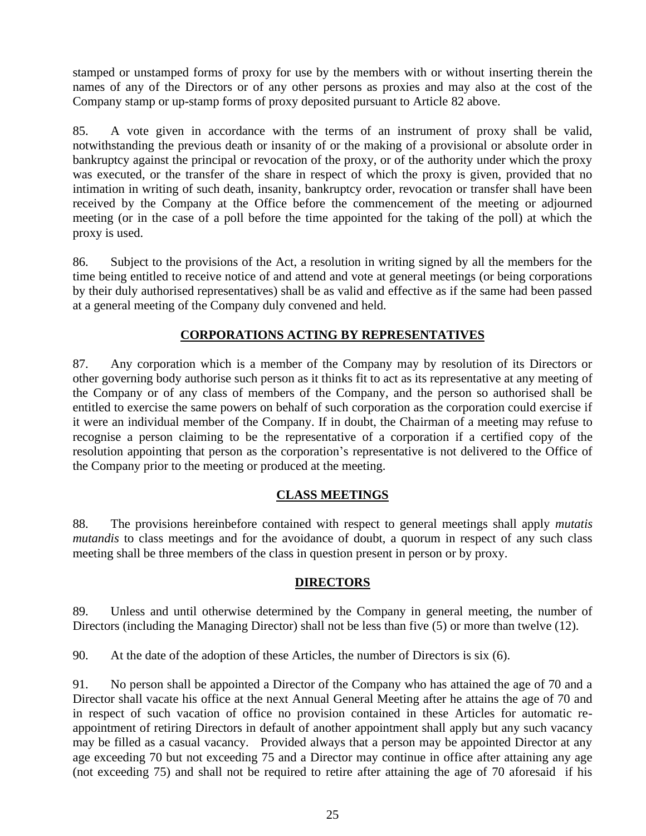stamped or unstamped forms of proxy for use by the members with or without inserting therein the names of any of the Directors or of any other persons as proxies and may also at the cost of the Company stamp or up-stamp forms of proxy deposited pursuant to Article 82 above.

85. A vote given in accordance with the terms of an instrument of proxy shall be valid, notwithstanding the previous death or insanity of or the making of a provisional or absolute order in bankruptcy against the principal or revocation of the proxy, or of the authority under which the proxy was executed, or the transfer of the share in respect of which the proxy is given, provided that no intimation in writing of such death, insanity, bankruptcy order, revocation or transfer shall have been received by the Company at the Office before the commencement of the meeting or adjourned meeting (or in the case of a poll before the time appointed for the taking of the poll) at which the proxy is used.

86. Subject to the provisions of the Act, a resolution in writing signed by all the members for the time being entitled to receive notice of and attend and vote at general meetings (or being corporations by their duly authorised representatives) shall be as valid and effective as if the same had been passed at a general meeting of the Company duly convened and held.

### **CORPORATIONS ACTING BY REPRESENTATIVES**

87. Any corporation which is a member of the Company may by resolution of its Directors or other governing body authorise such person as it thinks fit to act as its representative at any meeting of the Company or of any class of members of the Company, and the person so authorised shall be entitled to exercise the same powers on behalf of such corporation as the corporation could exercise if it were an individual member of the Company. If in doubt, the Chairman of a meeting may refuse to recognise a person claiming to be the representative of a corporation if a certified copy of the resolution appointing that person as the corporation's representative is not delivered to the Office of the Company prior to the meeting or produced at the meeting.

### **CLASS MEETINGS**

88. The provisions hereinbefore contained with respect to general meetings shall apply *mutatis mutandis* to class meetings and for the avoidance of doubt, a quorum in respect of any such class meeting shall be three members of the class in question present in person or by proxy.

### **DIRECTORS**

89. Unless and until otherwise determined by the Company in general meeting, the number of Directors (including the Managing Director) shall not be less than five (5) or more than twelve (12).

90. At the date of the adoption of these Articles, the number of Directors is six (6).

91. No person shall be appointed a Director of the Company who has attained the age of 70 and a Director shall vacate his office at the next Annual General Meeting after he attains the age of 70 and in respect of such vacation of office no provision contained in these Articles for automatic reappointment of retiring Directors in default of another appointment shall apply but any such vacancy may be filled as a casual vacancy. Provided always that a person may be appointed Director at any age exceeding 70 but not exceeding 75 and a Director may continue in office after attaining any age (not exceeding 75) and shall not be required to retire after attaining the age of 70 aforesaid if his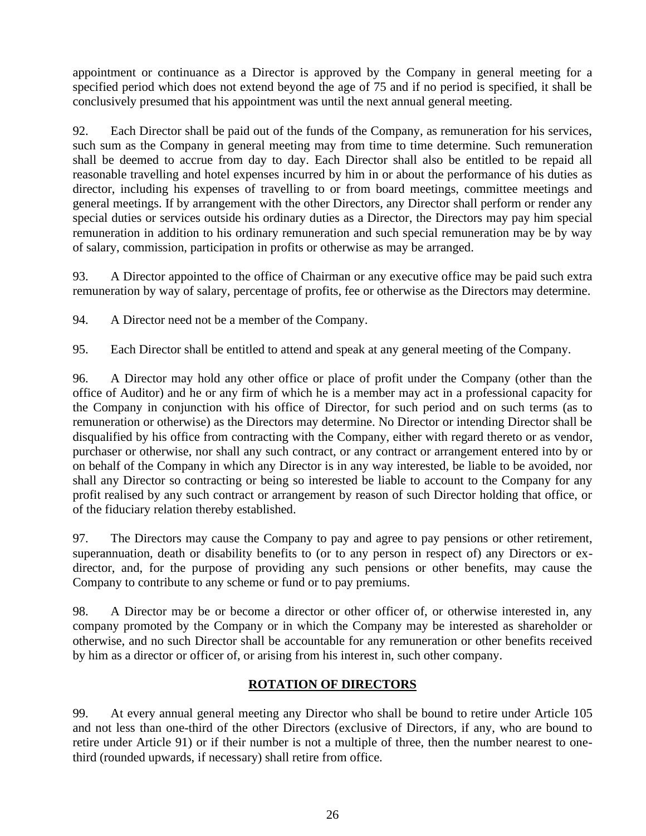appointment or continuance as a Director is approved by the Company in general meeting for a specified period which does not extend beyond the age of 75 and if no period is specified, it shall be conclusively presumed that his appointment was until the next annual general meeting.

92. Each Director shall be paid out of the funds of the Company, as remuneration for his services, such sum as the Company in general meeting may from time to time determine. Such remuneration shall be deemed to accrue from day to day. Each Director shall also be entitled to be repaid all reasonable travelling and hotel expenses incurred by him in or about the performance of his duties as director, including his expenses of travelling to or from board meetings, committee meetings and general meetings. If by arrangement with the other Directors, any Director shall perform or render any special duties or services outside his ordinary duties as a Director, the Directors may pay him special remuneration in addition to his ordinary remuneration and such special remuneration may be by way of salary, commission, participation in profits or otherwise as may be arranged.

93. A Director appointed to the office of Chairman or any executive office may be paid such extra remuneration by way of salary, percentage of profits, fee or otherwise as the Directors may determine.

94. A Director need not be a member of the Company.

95. Each Director shall be entitled to attend and speak at any general meeting of the Company.

96. A Director may hold any other office or place of profit under the Company (other than the office of Auditor) and he or any firm of which he is a member may act in a professional capacity for the Company in conjunction with his office of Director, for such period and on such terms (as to remuneration or otherwise) as the Directors may determine. No Director or intending Director shall be disqualified by his office from contracting with the Company, either with regard thereto or as vendor, purchaser or otherwise, nor shall any such contract, or any contract or arrangement entered into by or on behalf of the Company in which any Director is in any way interested, be liable to be avoided, nor shall any Director so contracting or being so interested be liable to account to the Company for any profit realised by any such contract or arrangement by reason of such Director holding that office, or of the fiduciary relation thereby established.

97. The Directors may cause the Company to pay and agree to pay pensions or other retirement, superannuation, death or disability benefits to (or to any person in respect of) any Directors or exdirector, and, for the purpose of providing any such pensions or other benefits, may cause the Company to contribute to any scheme or fund or to pay premiums.

98. A Director may be or become a director or other officer of, or otherwise interested in, any company promoted by the Company or in which the Company may be interested as shareholder or otherwise, and no such Director shall be accountable for any remuneration or other benefits received by him as a director or officer of, or arising from his interest in, such other company.

### **ROTATION OF DIRECTORS**

99. At every annual general meeting any Director who shall be bound to retire under Article 105 and not less than one-third of the other Directors (exclusive of Directors, if any, who are bound to retire under Article 91) or if their number is not a multiple of three, then the number nearest to onethird (rounded upwards, if necessary) shall retire from office.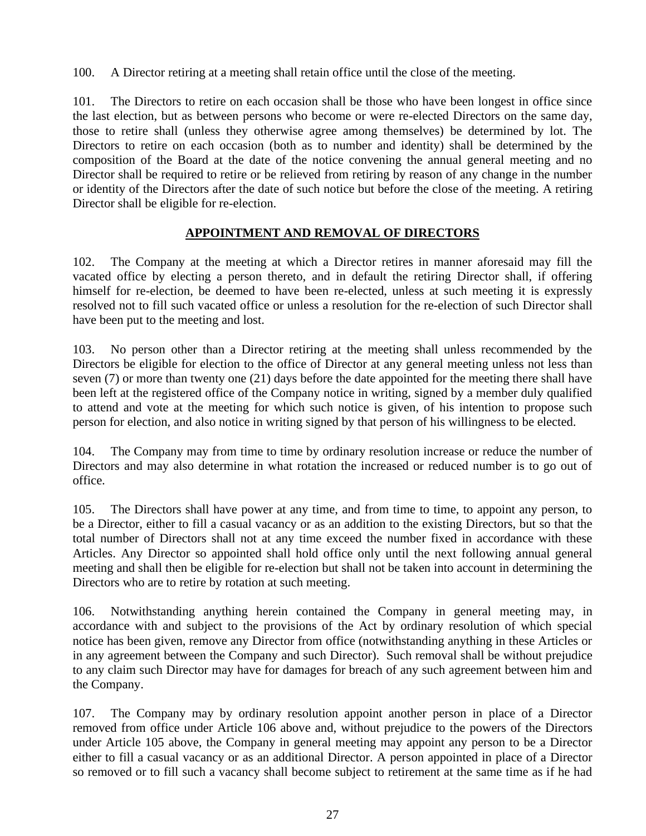100. A Director retiring at a meeting shall retain office until the close of the meeting.

101. The Directors to retire on each occasion shall be those who have been longest in office since the last election, but as between persons who become or were re-elected Directors on the same day, those to retire shall (unless they otherwise agree among themselves) be determined by lot. The Directors to retire on each occasion (both as to number and identity) shall be determined by the composition of the Board at the date of the notice convening the annual general meeting and no Director shall be required to retire or be relieved from retiring by reason of any change in the number or identity of the Directors after the date of such notice but before the close of the meeting. A retiring Director shall be eligible for re-election.

### **APPOINTMENT AND REMOVAL OF DIRECTORS**

102. The Company at the meeting at which a Director retires in manner aforesaid may fill the vacated office by electing a person thereto, and in default the retiring Director shall, if offering himself for re-election, be deemed to have been re-elected, unless at such meeting it is expressly resolved not to fill such vacated office or unless a resolution for the re-election of such Director shall have been put to the meeting and lost.

103. No person other than a Director retiring at the meeting shall unless recommended by the Directors be eligible for election to the office of Director at any general meeting unless not less than seven (7) or more than twenty one (21) days before the date appointed for the meeting there shall have been left at the registered office of the Company notice in writing, signed by a member duly qualified to attend and vote at the meeting for which such notice is given, of his intention to propose such person for election, and also notice in writing signed by that person of his willingness to be elected.

104. The Company may from time to time by ordinary resolution increase or reduce the number of Directors and may also determine in what rotation the increased or reduced number is to go out of office.

105. The Directors shall have power at any time, and from time to time, to appoint any person, to be a Director, either to fill a casual vacancy or as an addition to the existing Directors, but so that the total number of Directors shall not at any time exceed the number fixed in accordance with these Articles. Any Director so appointed shall hold office only until the next following annual general meeting and shall then be eligible for re-election but shall not be taken into account in determining the Directors who are to retire by rotation at such meeting.

106. Notwithstanding anything herein contained the Company in general meeting may, in accordance with and subject to the provisions of the Act by ordinary resolution of which special notice has been given, remove any Director from office (notwithstanding anything in these Articles or in any agreement between the Company and such Director). Such removal shall be without prejudice to any claim such Director may have for damages for breach of any such agreement between him and the Company.

107. The Company may by ordinary resolution appoint another person in place of a Director removed from office under Article 106 above and, without prejudice to the powers of the Directors under Article 105 above, the Company in general meeting may appoint any person to be a Director either to fill a casual vacancy or as an additional Director. A person appointed in place of a Director so removed or to fill such a vacancy shall become subject to retirement at the same time as if he had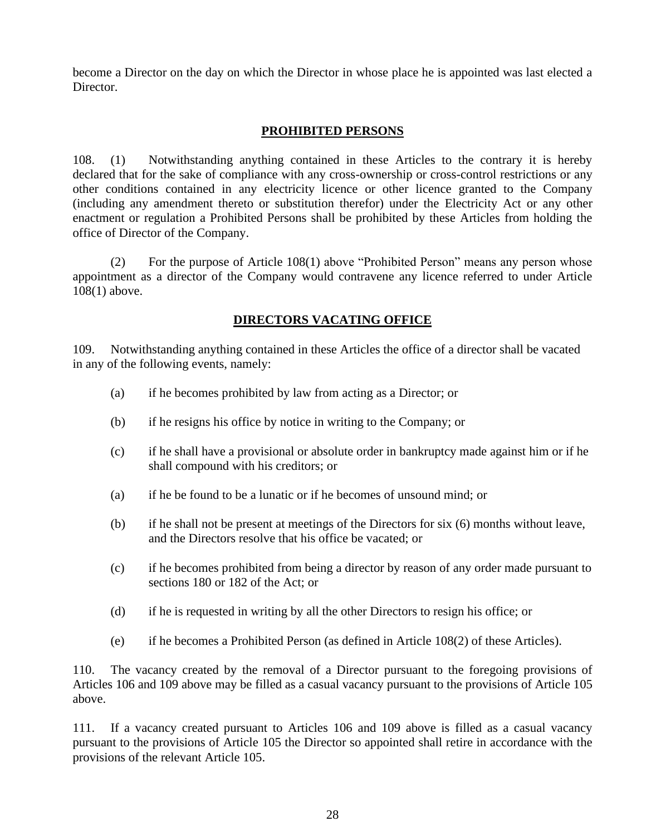become a Director on the day on which the Director in whose place he is appointed was last elected a Director.

## **PROHIBITED PERSONS**

108. (1) Notwithstanding anything contained in these Articles to the contrary it is hereby declared that for the sake of compliance with any cross-ownership or cross-control restrictions or any other conditions contained in any electricity licence or other licence granted to the Company (including any amendment thereto or substitution therefor) under the Electricity Act or any other enactment or regulation a Prohibited Persons shall be prohibited by these Articles from holding the office of Director of the Company.

(2) For the purpose of Article 108(1) above "Prohibited Person" means any person whose appointment as a director of the Company would contravene any licence referred to under Article 108(1) above.

### **DIRECTORS VACATING OFFICE**

109. Notwithstanding anything contained in these Articles the office of a director shall be vacated in any of the following events, namely:

- (a) if he becomes prohibited by law from acting as a Director; or
- (b) if he resigns his office by notice in writing to the Company; or
- (c) if he shall have a provisional or absolute order in bankruptcy made against him or if he shall compound with his creditors; or
- (a) if he be found to be a lunatic or if he becomes of unsound mind; or
- (b) if he shall not be present at meetings of the Directors for six (6) months without leave, and the Directors resolve that his office be vacated; or
- (c) if he becomes prohibited from being a director by reason of any order made pursuant to sections 180 or 182 of the Act; or
- (d) if he is requested in writing by all the other Directors to resign his office; or
- (e) if he becomes a Prohibited Person (as defined in Article 108(2) of these Articles).

110. The vacancy created by the removal of a Director pursuant to the foregoing provisions of Articles 106 and 109 above may be filled as a casual vacancy pursuant to the provisions of Article 105 above.

111. If a vacancy created pursuant to Articles 106 and 109 above is filled as a casual vacancy pursuant to the provisions of Article 105 the Director so appointed shall retire in accordance with the provisions of the relevant Article 105.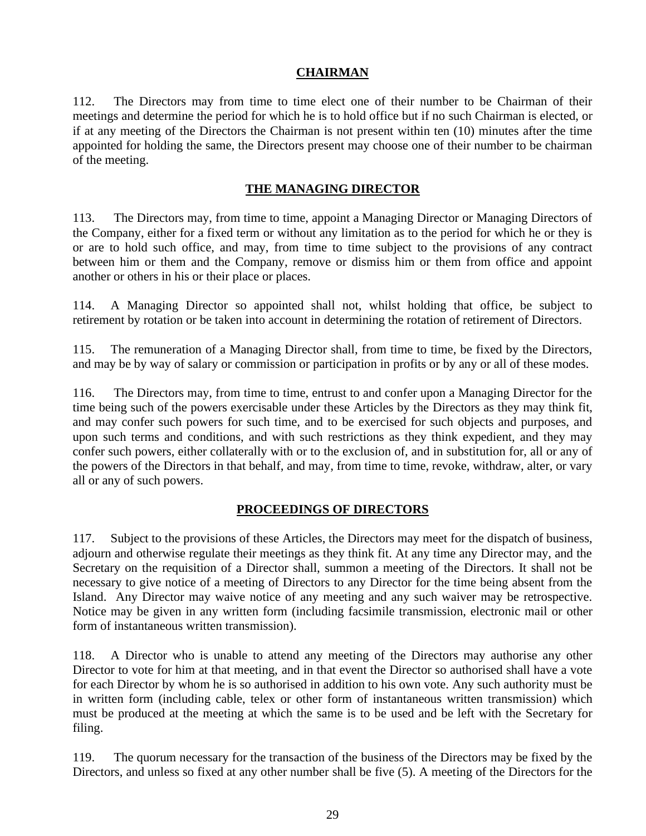### **CHAIRMAN**

112. The Directors may from time to time elect one of their number to be Chairman of their meetings and determine the period for which he is to hold office but if no such Chairman is elected, or if at any meeting of the Directors the Chairman is not present within ten (10) minutes after the time appointed for holding the same, the Directors present may choose one of their number to be chairman of the meeting.

#### **THE MANAGING DIRECTOR**

113. The Directors may, from time to time, appoint a Managing Director or Managing Directors of the Company, either for a fixed term or without any limitation as to the period for which he or they is or are to hold such office, and may, from time to time subject to the provisions of any contract between him or them and the Company, remove or dismiss him or them from office and appoint another or others in his or their place or places.

114. A Managing Director so appointed shall not, whilst holding that office, be subject to retirement by rotation or be taken into account in determining the rotation of retirement of Directors.

115. The remuneration of a Managing Director shall, from time to time, be fixed by the Directors, and may be by way of salary or commission or participation in profits or by any or all of these modes.

116. The Directors may, from time to time, entrust to and confer upon a Managing Director for the time being such of the powers exercisable under these Articles by the Directors as they may think fit, and may confer such powers for such time, and to be exercised for such objects and purposes, and upon such terms and conditions, and with such restrictions as they think expedient, and they may confer such powers, either collaterally with or to the exclusion of, and in substitution for, all or any of the powers of the Directors in that behalf, and may, from time to time, revoke, withdraw, alter, or vary all or any of such powers.

### **PROCEEDINGS OF DIRECTORS**

117. Subject to the provisions of these Articles, the Directors may meet for the dispatch of business, adjourn and otherwise regulate their meetings as they think fit. At any time any Director may, and the Secretary on the requisition of a Director shall, summon a meeting of the Directors. It shall not be necessary to give notice of a meeting of Directors to any Director for the time being absent from the Island. Any Director may waive notice of any meeting and any such waiver may be retrospective. Notice may be given in any written form (including facsimile transmission, electronic mail or other form of instantaneous written transmission).

118. A Director who is unable to attend any meeting of the Directors may authorise any other Director to vote for him at that meeting, and in that event the Director so authorised shall have a vote for each Director by whom he is so authorised in addition to his own vote. Any such authority must be in written form (including cable, telex or other form of instantaneous written transmission) which must be produced at the meeting at which the same is to be used and be left with the Secretary for filing.

119. The quorum necessary for the transaction of the business of the Directors may be fixed by the Directors, and unless so fixed at any other number shall be five (5). A meeting of the Directors for the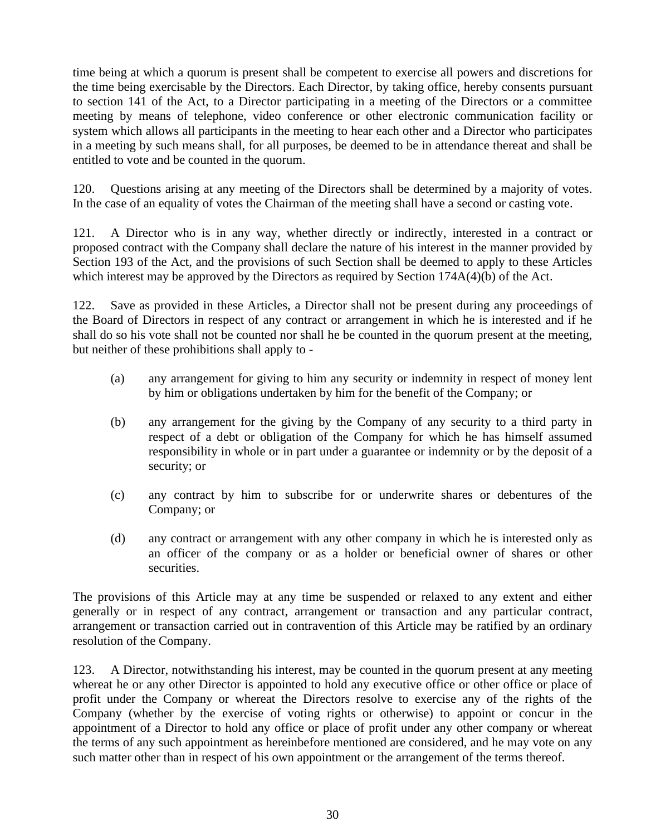time being at which a quorum is present shall be competent to exercise all powers and discretions for the time being exercisable by the Directors. Each Director, by taking office, hereby consents pursuant to section 141 of the Act, to a Director participating in a meeting of the Directors or a committee meeting by means of telephone, video conference or other electronic communication facility or system which allows all participants in the meeting to hear each other and a Director who participates in a meeting by such means shall, for all purposes, be deemed to be in attendance thereat and shall be entitled to vote and be counted in the quorum.

120. Questions arising at any meeting of the Directors shall be determined by a majority of votes. In the case of an equality of votes the Chairman of the meeting shall have a second or casting vote.

121. A Director who is in any way, whether directly or indirectly, interested in a contract or proposed contract with the Company shall declare the nature of his interest in the manner provided by Section 193 of the Act, and the provisions of such Section shall be deemed to apply to these Articles which interest may be approved by the Directors as required by Section  $174A(4)(b)$  of the Act.

122. Save as provided in these Articles, a Director shall not be present during any proceedings of the Board of Directors in respect of any contract or arrangement in which he is interested and if he shall do so his vote shall not be counted nor shall he be counted in the quorum present at the meeting, but neither of these prohibitions shall apply to -

- (a) any arrangement for giving to him any security or indemnity in respect of money lent by him or obligations undertaken by him for the benefit of the Company; or
- (b) any arrangement for the giving by the Company of any security to a third party in respect of a debt or obligation of the Company for which he has himself assumed responsibility in whole or in part under a guarantee or indemnity or by the deposit of a security; or
- (c) any contract by him to subscribe for or underwrite shares or debentures of the Company; or
- (d) any contract or arrangement with any other company in which he is interested only as an officer of the company or as a holder or beneficial owner of shares or other securities.

The provisions of this Article may at any time be suspended or relaxed to any extent and either generally or in respect of any contract, arrangement or transaction and any particular contract, arrangement or transaction carried out in contravention of this Article may be ratified by an ordinary resolution of the Company.

123. A Director, notwithstanding his interest, may be counted in the quorum present at any meeting whereat he or any other Director is appointed to hold any executive office or other office or place of profit under the Company or whereat the Directors resolve to exercise any of the rights of the Company (whether by the exercise of voting rights or otherwise) to appoint or concur in the appointment of a Director to hold any office or place of profit under any other company or whereat the terms of any such appointment as hereinbefore mentioned are considered, and he may vote on any such matter other than in respect of his own appointment or the arrangement of the terms thereof.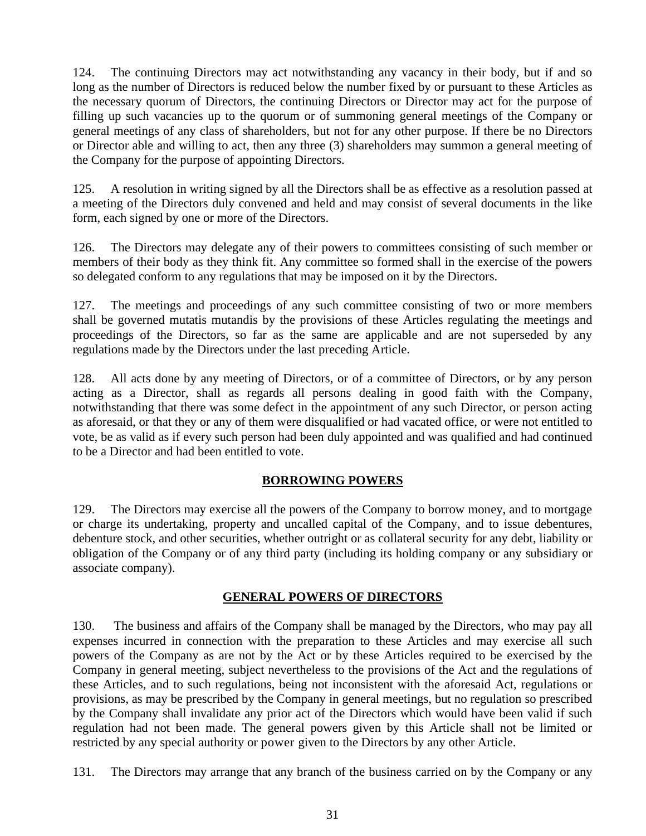124. The continuing Directors may act notwithstanding any vacancy in their body, but if and so long as the number of Directors is reduced below the number fixed by or pursuant to these Articles as the necessary quorum of Directors, the continuing Directors or Director may act for the purpose of filling up such vacancies up to the quorum or of summoning general meetings of the Company or general meetings of any class of shareholders, but not for any other purpose. If there be no Directors or Director able and willing to act, then any three (3) shareholders may summon a general meeting of the Company for the purpose of appointing Directors.

125. A resolution in writing signed by all the Directors shall be as effective as a resolution passed at a meeting of the Directors duly convened and held and may consist of several documents in the like form, each signed by one or more of the Directors.

126. The Directors may delegate any of their powers to committees consisting of such member or members of their body as they think fit. Any committee so formed shall in the exercise of the powers so delegated conform to any regulations that may be imposed on it by the Directors.

127. The meetings and proceedings of any such committee consisting of two or more members shall be governed mutatis mutandis by the provisions of these Articles regulating the meetings and proceedings of the Directors, so far as the same are applicable and are not superseded by any regulations made by the Directors under the last preceding Article.

128. All acts done by any meeting of Directors, or of a committee of Directors, or by any person acting as a Director, shall as regards all persons dealing in good faith with the Company, notwithstanding that there was some defect in the appointment of any such Director, or person acting as aforesaid, or that they or any of them were disqualified or had vacated office, or were not entitled to vote, be as valid as if every such person had been duly appointed and was qualified and had continued to be a Director and had been entitled to vote.

### **BORROWING POWERS**

129. The Directors may exercise all the powers of the Company to borrow money, and to mortgage or charge its undertaking, property and uncalled capital of the Company, and to issue debentures, debenture stock, and other securities, whether outright or as collateral security for any debt, liability or obligation of the Company or of any third party (including its holding company or any subsidiary or associate company).

#### **GENERAL POWERS OF DIRECTORS**

130. The business and affairs of the Company shall be managed by the Directors, who may pay all expenses incurred in connection with the preparation to these Articles and may exercise all such powers of the Company as are not by the Act or by these Articles required to be exercised by the Company in general meeting, subject nevertheless to the provisions of the Act and the regulations of these Articles, and to such regulations, being not inconsistent with the aforesaid Act, regulations or provisions, as may be prescribed by the Company in general meetings, but no regulation so prescribed by the Company shall invalidate any prior act of the Directors which would have been valid if such regulation had not been made. The general powers given by this Article shall not be limited or restricted by any special authority or power given to the Directors by any other Article.

131. The Directors may arrange that any branch of the business carried on by the Company or any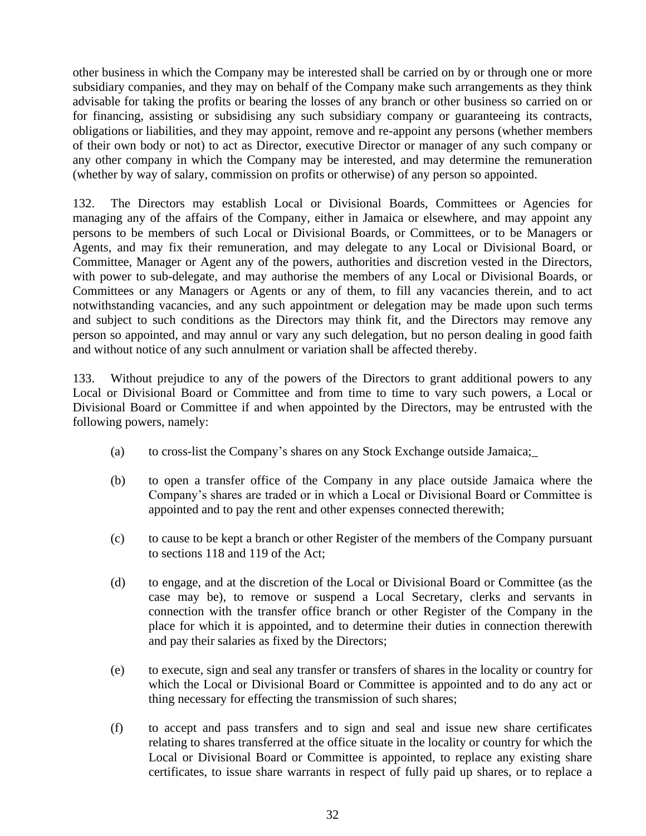other business in which the Company may be interested shall be carried on by or through one or more subsidiary companies, and they may on behalf of the Company make such arrangements as they think advisable for taking the profits or bearing the losses of any branch or other business so carried on or for financing, assisting or subsidising any such subsidiary company or guaranteeing its contracts, obligations or liabilities, and they may appoint, remove and re-appoint any persons (whether members of their own body or not) to act as Director, executive Director or manager of any such company or any other company in which the Company may be interested, and may determine the remuneration (whether by way of salary, commission on profits or otherwise) of any person so appointed.

132. The Directors may establish Local or Divisional Boards, Committees or Agencies for managing any of the affairs of the Company, either in Jamaica or elsewhere, and may appoint any persons to be members of such Local or Divisional Boards, or Committees, or to be Managers or Agents, and may fix their remuneration, and may delegate to any Local or Divisional Board, or Committee, Manager or Agent any of the powers, authorities and discretion vested in the Directors, with power to sub-delegate, and may authorise the members of any Local or Divisional Boards, or Committees or any Managers or Agents or any of them, to fill any vacancies therein, and to act notwithstanding vacancies, and any such appointment or delegation may be made upon such terms and subject to such conditions as the Directors may think fit, and the Directors may remove any person so appointed, and may annul or vary any such delegation, but no person dealing in good faith and without notice of any such annulment or variation shall be affected thereby.

133. Without prejudice to any of the powers of the Directors to grant additional powers to any Local or Divisional Board or Committee and from time to time to vary such powers, a Local or Divisional Board or Committee if and when appointed by the Directors, may be entrusted with the following powers, namely:

- (a) to cross-list the Company's shares on any Stock Exchange outside Jamaica;\_
- (b) to open a transfer office of the Company in any place outside Jamaica where the Company's shares are traded or in which a Local or Divisional Board or Committee is appointed and to pay the rent and other expenses connected therewith;
- (c) to cause to be kept a branch or other Register of the members of the Company pursuant to sections 118 and 119 of the Act;
- (d) to engage, and at the discretion of the Local or Divisional Board or Committee (as the case may be), to remove or suspend a Local Secretary, clerks and servants in connection with the transfer office branch or other Register of the Company in the place for which it is appointed, and to determine their duties in connection therewith and pay their salaries as fixed by the Directors;
- (e) to execute, sign and seal any transfer or transfers of shares in the locality or country for which the Local or Divisional Board or Committee is appointed and to do any act or thing necessary for effecting the transmission of such shares;
- (f) to accept and pass transfers and to sign and seal and issue new share certificates relating to shares transferred at the office situate in the locality or country for which the Local or Divisional Board or Committee is appointed, to replace any existing share certificates, to issue share warrants in respect of fully paid up shares, or to replace a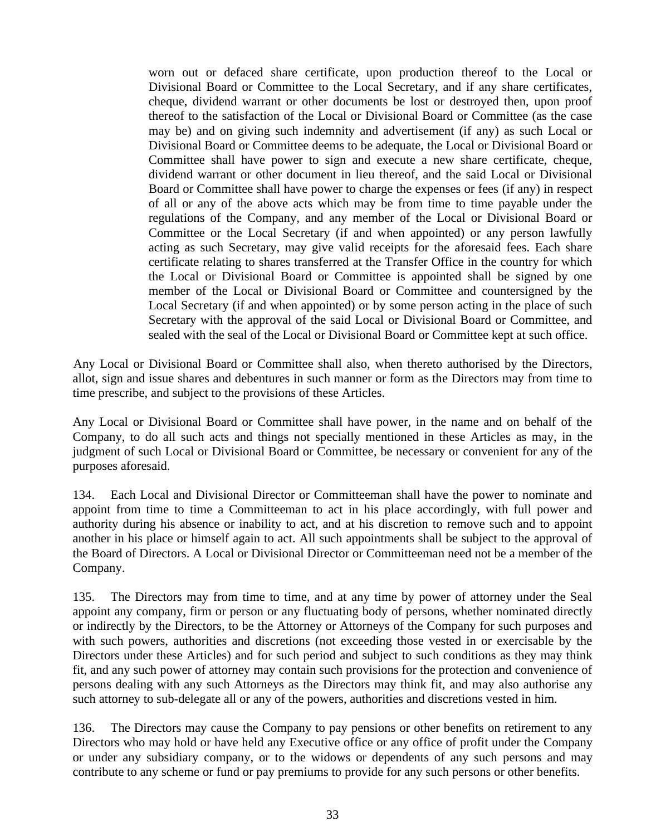worn out or defaced share certificate, upon production thereof to the Local or Divisional Board or Committee to the Local Secretary, and if any share certificates, cheque, dividend warrant or other documents be lost or destroyed then, upon proof thereof to the satisfaction of the Local or Divisional Board or Committee (as the case may be) and on giving such indemnity and advertisement (if any) as such Local or Divisional Board or Committee deems to be adequate, the Local or Divisional Board or Committee shall have power to sign and execute a new share certificate, cheque, dividend warrant or other document in lieu thereof, and the said Local or Divisional Board or Committee shall have power to charge the expenses or fees (if any) in respect of all or any of the above acts which may be from time to time payable under the regulations of the Company, and any member of the Local or Divisional Board or Committee or the Local Secretary (if and when appointed) or any person lawfully acting as such Secretary, may give valid receipts for the aforesaid fees. Each share certificate relating to shares transferred at the Transfer Office in the country for which the Local or Divisional Board or Committee is appointed shall be signed by one member of the Local or Divisional Board or Committee and countersigned by the Local Secretary (if and when appointed) or by some person acting in the place of such Secretary with the approval of the said Local or Divisional Board or Committee, and sealed with the seal of the Local or Divisional Board or Committee kept at such office.

Any Local or Divisional Board or Committee shall also, when thereto authorised by the Directors, allot, sign and issue shares and debentures in such manner or form as the Directors may from time to time prescribe, and subject to the provisions of these Articles.

Any Local or Divisional Board or Committee shall have power, in the name and on behalf of the Company, to do all such acts and things not specially mentioned in these Articles as may, in the judgment of such Local or Divisional Board or Committee, be necessary or convenient for any of the purposes aforesaid.

134. Each Local and Divisional Director or Committeeman shall have the power to nominate and appoint from time to time a Committeeman to act in his place accordingly, with full power and authority during his absence or inability to act, and at his discretion to remove such and to appoint another in his place or himself again to act. All such appointments shall be subject to the approval of the Board of Directors. A Local or Divisional Director or Committeeman need not be a member of the Company.

135. The Directors may from time to time, and at any time by power of attorney under the Seal appoint any company, firm or person or any fluctuating body of persons, whether nominated directly or indirectly by the Directors, to be the Attorney or Attorneys of the Company for such purposes and with such powers, authorities and discretions (not exceeding those vested in or exercisable by the Directors under these Articles) and for such period and subject to such conditions as they may think fit, and any such power of attorney may contain such provisions for the protection and convenience of persons dealing with any such Attorneys as the Directors may think fit, and may also authorise any such attorney to sub-delegate all or any of the powers, authorities and discretions vested in him.

136. The Directors may cause the Company to pay pensions or other benefits on retirement to any Directors who may hold or have held any Executive office or any office of profit under the Company or under any subsidiary company, or to the widows or dependents of any such persons and may contribute to any scheme or fund or pay premiums to provide for any such persons or other benefits.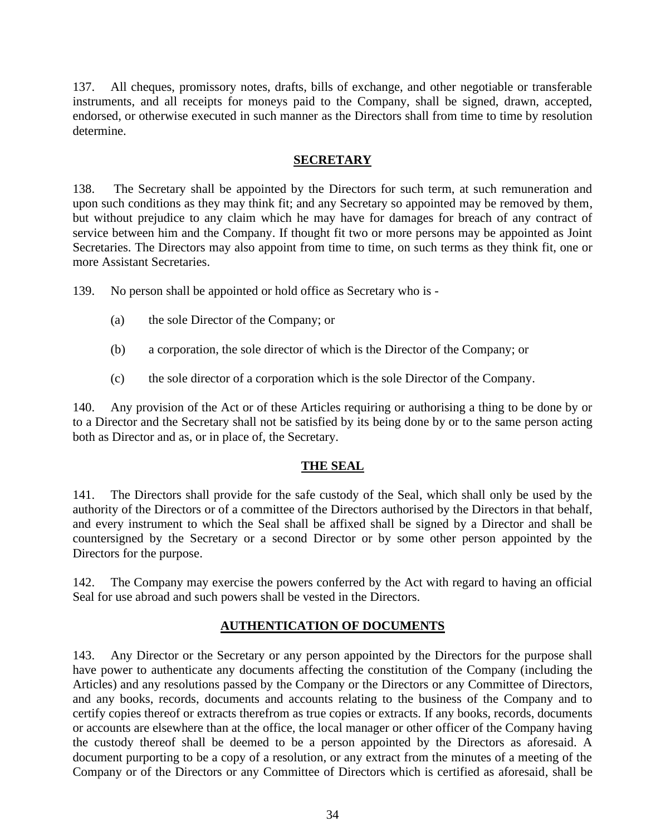137. All cheques, promissory notes, drafts, bills of exchange, and other negotiable or transferable instruments, and all receipts for moneys paid to the Company, shall be signed, drawn, accepted, endorsed, or otherwise executed in such manner as the Directors shall from time to time by resolution determine.

#### **SECRETARY**

138. The Secretary shall be appointed by the Directors for such term, at such remuneration and upon such conditions as they may think fit; and any Secretary so appointed may be removed by them, but without prejudice to any claim which he may have for damages for breach of any contract of service between him and the Company. If thought fit two or more persons may be appointed as Joint Secretaries. The Directors may also appoint from time to time, on such terms as they think fit, one or more Assistant Secretaries.

139. No person shall be appointed or hold office as Secretary who is -

- (a) the sole Director of the Company; or
- (b) a corporation, the sole director of which is the Director of the Company; or
- (c) the sole director of a corporation which is the sole Director of the Company.

140. Any provision of the Act or of these Articles requiring or authorising a thing to be done by or to a Director and the Secretary shall not be satisfied by its being done by or to the same person acting both as Director and as, or in place of, the Secretary.

#### **THE SEAL**

141. The Directors shall provide for the safe custody of the Seal, which shall only be used by the authority of the Directors or of a committee of the Directors authorised by the Directors in that behalf, and every instrument to which the Seal shall be affixed shall be signed by a Director and shall be countersigned by the Secretary or a second Director or by some other person appointed by the Directors for the purpose.

142. The Company may exercise the powers conferred by the Act with regard to having an official Seal for use abroad and such powers shall be vested in the Directors.

### **AUTHENTICATION OF DOCUMENTS**

143. Any Director or the Secretary or any person appointed by the Directors for the purpose shall have power to authenticate any documents affecting the constitution of the Company (including the Articles) and any resolutions passed by the Company or the Directors or any Committee of Directors, and any books, records, documents and accounts relating to the business of the Company and to certify copies thereof or extracts therefrom as true copies or extracts. If any books, records, documents or accounts are elsewhere than at the office, the local manager or other officer of the Company having the custody thereof shall be deemed to be a person appointed by the Directors as aforesaid. A document purporting to be a copy of a resolution, or any extract from the minutes of a meeting of the Company or of the Directors or any Committee of Directors which is certified as aforesaid, shall be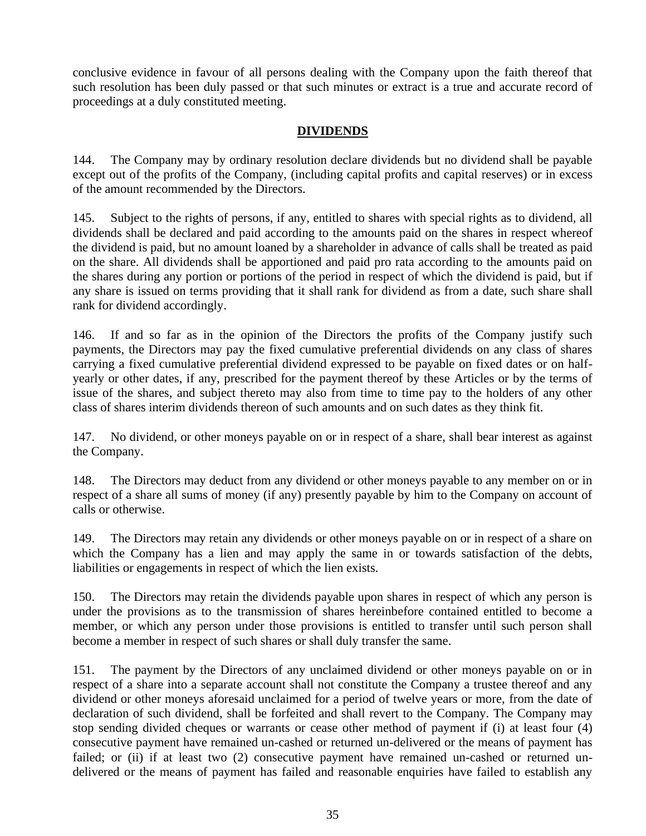conclusive evidence in favour of all persons dealing with the Company upon the faith thereof that such resolution has been duly passed or that such minutes or extract is a true and accurate record of proceedings at a duly constituted meeting.

### **DIVIDENDS**

144. The Company may by ordinary resolution declare dividends but no dividend shall be payable except out of the profits of the Company, (including capital profits and capital reserves) or in excess of the amount recommended by the Directors.

145. Subject to the rights of persons, if any, entitled to shares with special rights as to dividend, all dividends shall be declared and paid according to the amounts paid on the shares in respect whereof the dividend is paid, but no amount loaned by a shareholder in advance of calls shall be treated as paid on the share. All dividends shall be apportioned and paid pro rata according to the amounts paid on the shares during any portion or portions of the period in respect of which the dividend is paid, but if any share is issued on terms providing that it shall rank for dividend as from a date, such share shall rank for dividend accordingly.

146. If and so far as in the opinion of the Directors the profits of the Company justify such payments, the Directors may pay the fixed cumulative preferential dividends on any class of shares carrying a fixed cumulative preferential dividend expressed to be payable on fixed dates or on halfyearly or other dates, if any, prescribed for the payment thereof by these Articles or by the terms of issue of the shares, and subject thereto may also from time to time pay to the holders of any other class of shares interim dividends thereon of such amounts and on such dates as they think fit.

147. No dividend, or other moneys payable on or in respect of a share, shall bear interest as against the Company.

148. The Directors may deduct from any dividend or other moneys payable to any member on or in respect of a share all sums of money (if any) presently payable by him to the Company on account of calls or otherwise.

149. The Directors may retain any dividends or other moneys payable on or in respect of a share on which the Company has a lien and may apply the same in or towards satisfaction of the debts, liabilities or engagements in respect of which the lien exists.

150. The Directors may retain the dividends payable upon shares in respect of which any person is under the provisions as to the transmission of shares hereinbefore contained entitled to become a member, or which any person under those provisions is entitled to transfer until such person shall become a member in respect of such shares or shall duly transfer the same.

151. The payment by the Directors of any unclaimed dividend or other moneys payable on or in respect of a share into a separate account shall not constitute the Company a trustee thereof and any dividend or other moneys aforesaid unclaimed for a period of twelve years or more, from the date of declaration of such dividend, shall be forfeited and shall revert to the Company. The Company may stop sending divided cheques or warrants or cease other method of payment if (i) at least four (4) consecutive payment have remained un-cashed or returned un-delivered or the means of payment has failed; or (ii) if at least two (2) consecutive payment have remained un-cashed or returned undelivered or the means of payment has failed and reasonable enquiries have failed to establish any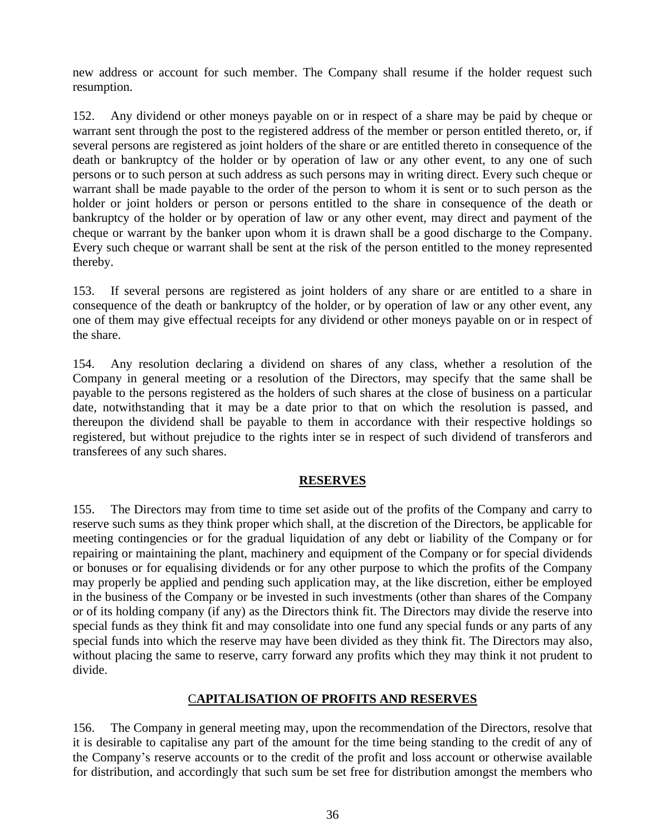new address or account for such member. The Company shall resume if the holder request such resumption.

152. Any dividend or other moneys payable on or in respect of a share may be paid by cheque or warrant sent through the post to the registered address of the member or person entitled thereto, or, if several persons are registered as joint holders of the share or are entitled thereto in consequence of the death or bankruptcy of the holder or by operation of law or any other event, to any one of such persons or to such person at such address as such persons may in writing direct. Every such cheque or warrant shall be made payable to the order of the person to whom it is sent or to such person as the holder or joint holders or person or persons entitled to the share in consequence of the death or bankruptcy of the holder or by operation of law or any other event, may direct and payment of the cheque or warrant by the banker upon whom it is drawn shall be a good discharge to the Company. Every such cheque or warrant shall be sent at the risk of the person entitled to the money represented thereby.

153. If several persons are registered as joint holders of any share or are entitled to a share in consequence of the death or bankruptcy of the holder, or by operation of law or any other event, any one of them may give effectual receipts for any dividend or other moneys payable on or in respect of the share.

154. Any resolution declaring a dividend on shares of any class, whether a resolution of the Company in general meeting or a resolution of the Directors, may specify that the same shall be payable to the persons registered as the holders of such shares at the close of business on a particular date, notwithstanding that it may be a date prior to that on which the resolution is passed, and thereupon the dividend shall be payable to them in accordance with their respective holdings so registered, but without prejudice to the rights inter se in respect of such dividend of transferors and transferees of any such shares.

#### **RESERVES**

155. The Directors may from time to time set aside out of the profits of the Company and carry to reserve such sums as they think proper which shall, at the discretion of the Directors, be applicable for meeting contingencies or for the gradual liquidation of any debt or liability of the Company or for repairing or maintaining the plant, machinery and equipment of the Company or for special dividends or bonuses or for equalising dividends or for any other purpose to which the profits of the Company may properly be applied and pending such application may, at the like discretion, either be employed in the business of the Company or be invested in such investments (other than shares of the Company or of its holding company (if any) as the Directors think fit. The Directors may divide the reserve into special funds as they think fit and may consolidate into one fund any special funds or any parts of any special funds into which the reserve may have been divided as they think fit. The Directors may also, without placing the same to reserve, carry forward any profits which they may think it not prudent to divide.

#### C**APITALISATION OF PROFITS AND RESERVES**

156. The Company in general meeting may, upon the recommendation of the Directors, resolve that it is desirable to capitalise any part of the amount for the time being standing to the credit of any of the Company's reserve accounts or to the credit of the profit and loss account or otherwise available for distribution, and accordingly that such sum be set free for distribution amongst the members who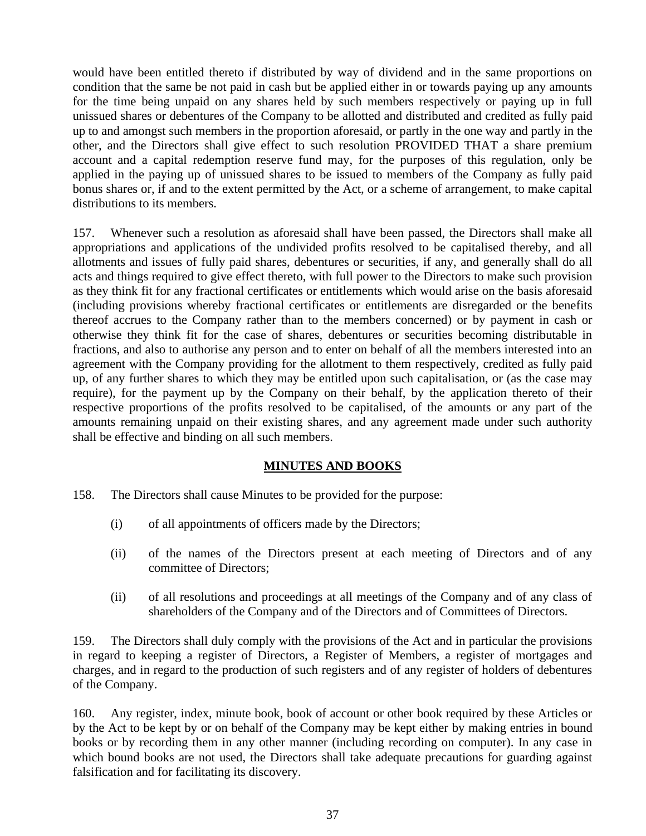would have been entitled thereto if distributed by way of dividend and in the same proportions on condition that the same be not paid in cash but be applied either in or towards paying up any amounts for the time being unpaid on any shares held by such members respectively or paying up in full unissued shares or debentures of the Company to be allotted and distributed and credited as fully paid up to and amongst such members in the proportion aforesaid, or partly in the one way and partly in the other, and the Directors shall give effect to such resolution PROVIDED THAT a share premium account and a capital redemption reserve fund may, for the purposes of this regulation, only be applied in the paying up of unissued shares to be issued to members of the Company as fully paid bonus shares or, if and to the extent permitted by the Act, or a scheme of arrangement, to make capital distributions to its members.

157. Whenever such a resolution as aforesaid shall have been passed, the Directors shall make all appropriations and applications of the undivided profits resolved to be capitalised thereby, and all allotments and issues of fully paid shares, debentures or securities, if any, and generally shall do all acts and things required to give effect thereto, with full power to the Directors to make such provision as they think fit for any fractional certificates or entitlements which would arise on the basis aforesaid (including provisions whereby fractional certificates or entitlements are disregarded or the benefits thereof accrues to the Company rather than to the members concerned) or by payment in cash or otherwise they think fit for the case of shares, debentures or securities becoming distributable in fractions, and also to authorise any person and to enter on behalf of all the members interested into an agreement with the Company providing for the allotment to them respectively, credited as fully paid up, of any further shares to which they may be entitled upon such capitalisation, or (as the case may require), for the payment up by the Company on their behalf, by the application thereto of their respective proportions of the profits resolved to be capitalised, of the amounts or any part of the amounts remaining unpaid on their existing shares, and any agreement made under such authority shall be effective and binding on all such members.

#### **MINUTES AND BOOKS**

- 158. The Directors shall cause Minutes to be provided for the purpose:
	- (i) of all appointments of officers made by the Directors;
	- (ii) of the names of the Directors present at each meeting of Directors and of any committee of Directors;
	- (ii) of all resolutions and proceedings at all meetings of the Company and of any class of shareholders of the Company and of the Directors and of Committees of Directors.

159. The Directors shall duly comply with the provisions of the Act and in particular the provisions in regard to keeping a register of Directors, a Register of Members, a register of mortgages and charges, and in regard to the production of such registers and of any register of holders of debentures of the Company.

160. Any register, index, minute book, book of account or other book required by these Articles or by the Act to be kept by or on behalf of the Company may be kept either by making entries in bound books or by recording them in any other manner (including recording on computer). In any case in which bound books are not used, the Directors shall take adequate precautions for guarding against falsification and for facilitating its discovery.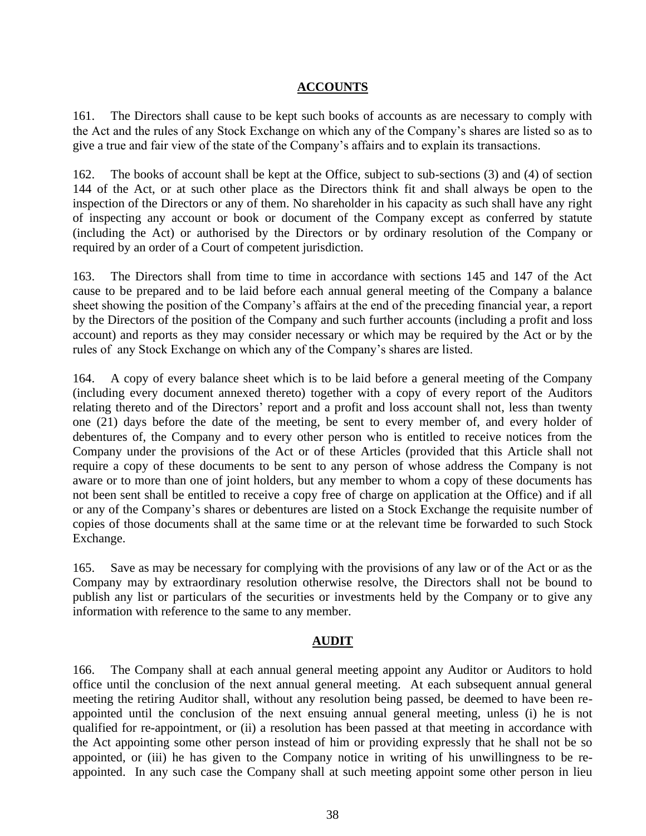#### **ACCOUNTS**

161. The Directors shall cause to be kept such books of accounts as are necessary to comply with the Act and the rules of any Stock Exchange on which any of the Company's shares are listed so as to give a true and fair view of the state of the Company's affairs and to explain its transactions.

162. The books of account shall be kept at the Office, subject to sub-sections (3) and (4) of section 144 of the Act, or at such other place as the Directors think fit and shall always be open to the inspection of the Directors or any of them. No shareholder in his capacity as such shall have any right of inspecting any account or book or document of the Company except as conferred by statute (including the Act) or authorised by the Directors or by ordinary resolution of the Company or required by an order of a Court of competent jurisdiction.

163. The Directors shall from time to time in accordance with sections 145 and 147 of the Act cause to be prepared and to be laid before each annual general meeting of the Company a balance sheet showing the position of the Company's affairs at the end of the preceding financial year, a report by the Directors of the position of the Company and such further accounts (including a profit and loss account) and reports as they may consider necessary or which may be required by the Act or by the rules of any Stock Exchange on which any of the Company's shares are listed.

164. A copy of every balance sheet which is to be laid before a general meeting of the Company (including every document annexed thereto) together with a copy of every report of the Auditors relating thereto and of the Directors' report and a profit and loss account shall not, less than twenty one (21) days before the date of the meeting, be sent to every member of, and every holder of debentures of, the Company and to every other person who is entitled to receive notices from the Company under the provisions of the Act or of these Articles (provided that this Article shall not require a copy of these documents to be sent to any person of whose address the Company is not aware or to more than one of joint holders, but any member to whom a copy of these documents has not been sent shall be entitled to receive a copy free of charge on application at the Office) and if all or any of the Company's shares or debentures are listed on a Stock Exchange the requisite number of copies of those documents shall at the same time or at the relevant time be forwarded to such Stock Exchange.

165. Save as may be necessary for complying with the provisions of any law or of the Act or as the Company may by extraordinary resolution otherwise resolve, the Directors shall not be bound to publish any list or particulars of the securities or investments held by the Company or to give any information with reference to the same to any member.

#### **AUDIT**

166. The Company shall at each annual general meeting appoint any Auditor or Auditors to hold office until the conclusion of the next annual general meeting. At each subsequent annual general meeting the retiring Auditor shall, without any resolution being passed, be deemed to have been reappointed until the conclusion of the next ensuing annual general meeting, unless (i) he is not qualified for re-appointment, or (ii) a resolution has been passed at that meeting in accordance with the Act appointing some other person instead of him or providing expressly that he shall not be so appointed, or (iii) he has given to the Company notice in writing of his unwillingness to be reappointed. In any such case the Company shall at such meeting appoint some other person in lieu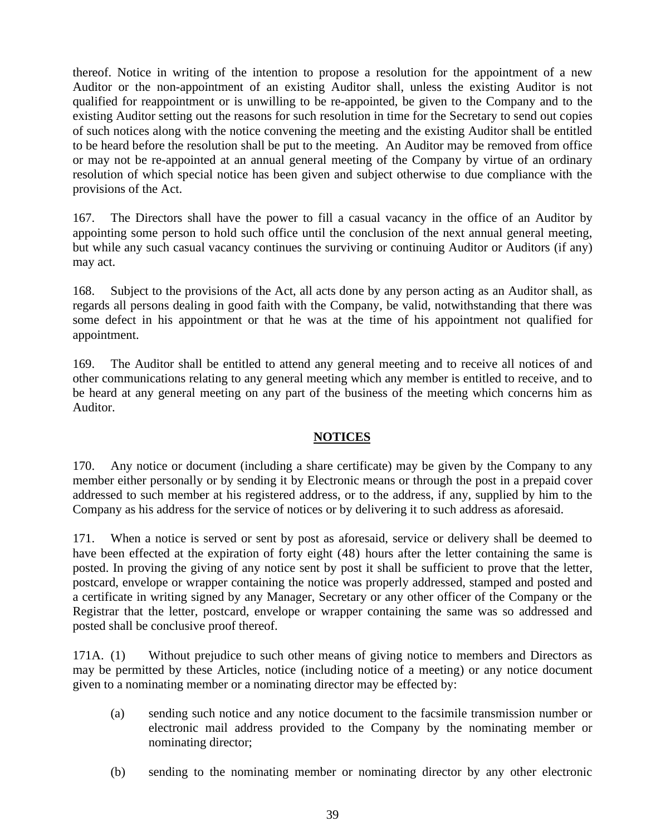thereof. Notice in writing of the intention to propose a resolution for the appointment of a new Auditor or the non-appointment of an existing Auditor shall, unless the existing Auditor is not qualified for reappointment or is unwilling to be re-appointed, be given to the Company and to the existing Auditor setting out the reasons for such resolution in time for the Secretary to send out copies of such notices along with the notice convening the meeting and the existing Auditor shall be entitled to be heard before the resolution shall be put to the meeting. An Auditor may be removed from office or may not be re-appointed at an annual general meeting of the Company by virtue of an ordinary resolution of which special notice has been given and subject otherwise to due compliance with the provisions of the Act.

167. The Directors shall have the power to fill a casual vacancy in the office of an Auditor by appointing some person to hold such office until the conclusion of the next annual general meeting, but while any such casual vacancy continues the surviving or continuing Auditor or Auditors (if any) may act.

168. Subject to the provisions of the Act, all acts done by any person acting as an Auditor shall, as regards all persons dealing in good faith with the Company, be valid, notwithstanding that there was some defect in his appointment or that he was at the time of his appointment not qualified for appointment.

169. The Auditor shall be entitled to attend any general meeting and to receive all notices of and other communications relating to any general meeting which any member is entitled to receive, and to be heard at any general meeting on any part of the business of the meeting which concerns him as Auditor.

### **NOTICES**

170. Any notice or document (including a share certificate) may be given by the Company to any member either personally or by sending it by Electronic means or through the post in a prepaid cover addressed to such member at his registered address, or to the address, if any, supplied by him to the Company as his address for the service of notices or by delivering it to such address as aforesaid.

171. When a notice is served or sent by post as aforesaid, service or delivery shall be deemed to have been effected at the expiration of forty eight (48) hours after the letter containing the same is posted. In proving the giving of any notice sent by post it shall be sufficient to prove that the letter, postcard, envelope or wrapper containing the notice was properly addressed, stamped and posted and a certificate in writing signed by any Manager, Secretary or any other officer of the Company or the Registrar that the letter, postcard, envelope or wrapper containing the same was so addressed and posted shall be conclusive proof thereof.

171A. (1) Without prejudice to such other means of giving notice to members and Directors as may be permitted by these Articles, notice (including notice of a meeting) or any notice document given to a nominating member or a nominating director may be effected by:

- (a) sending such notice and any notice document to the facsimile transmission number or electronic mail address provided to the Company by the nominating member or nominating director;
- (b) sending to the nominating member or nominating director by any other electronic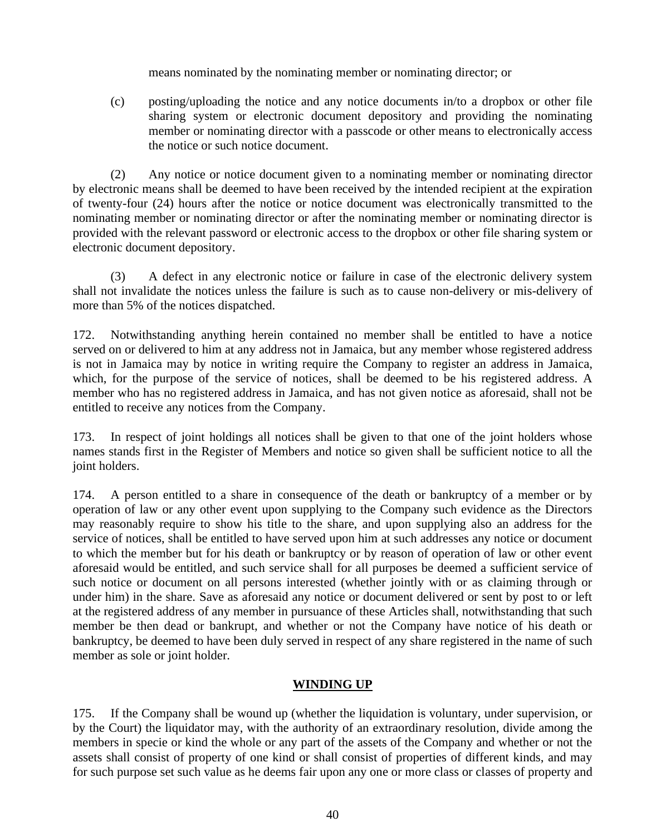means nominated by the nominating member or nominating director; or

(c) posting/uploading the notice and any notice documents in/to a dropbox or other file sharing system or electronic document depository and providing the nominating member or nominating director with a passcode or other means to electronically access the notice or such notice document.

(2) Any notice or notice document given to a nominating member or nominating director by electronic means shall be deemed to have been received by the intended recipient at the expiration of twenty-four (24) hours after the notice or notice document was electronically transmitted to the nominating member or nominating director or after the nominating member or nominating director is provided with the relevant password or electronic access to the dropbox or other file sharing system or electronic document depository.

(3) A defect in any electronic notice or failure in case of the electronic delivery system shall not invalidate the notices unless the failure is such as to cause non-delivery or mis-delivery of more than 5% of the notices dispatched.

172. Notwithstanding anything herein contained no member shall be entitled to have a notice served on or delivered to him at any address not in Jamaica, but any member whose registered address is not in Jamaica may by notice in writing require the Company to register an address in Jamaica, which, for the purpose of the service of notices, shall be deemed to be his registered address. A member who has no registered address in Jamaica, and has not given notice as aforesaid, shall not be entitled to receive any notices from the Company.

173. In respect of joint holdings all notices shall be given to that one of the joint holders whose names stands first in the Register of Members and notice so given shall be sufficient notice to all the joint holders.

174. A person entitled to a share in consequence of the death or bankruptcy of a member or by operation of law or any other event upon supplying to the Company such evidence as the Directors may reasonably require to show his title to the share, and upon supplying also an address for the service of notices, shall be entitled to have served upon him at such addresses any notice or document to which the member but for his death or bankruptcy or by reason of operation of law or other event aforesaid would be entitled, and such service shall for all purposes be deemed a sufficient service of such notice or document on all persons interested (whether jointly with or as claiming through or under him) in the share. Save as aforesaid any notice or document delivered or sent by post to or left at the registered address of any member in pursuance of these Articles shall, notwithstanding that such member be then dead or bankrupt, and whether or not the Company have notice of his death or bankruptcy, be deemed to have been duly served in respect of any share registered in the name of such member as sole or joint holder.

### **WINDING UP**

175. If the Company shall be wound up (whether the liquidation is voluntary, under supervision, or by the Court) the liquidator may, with the authority of an extraordinary resolution, divide among the members in specie or kind the whole or any part of the assets of the Company and whether or not the assets shall consist of property of one kind or shall consist of properties of different kinds, and may for such purpose set such value as he deems fair upon any one or more class or classes of property and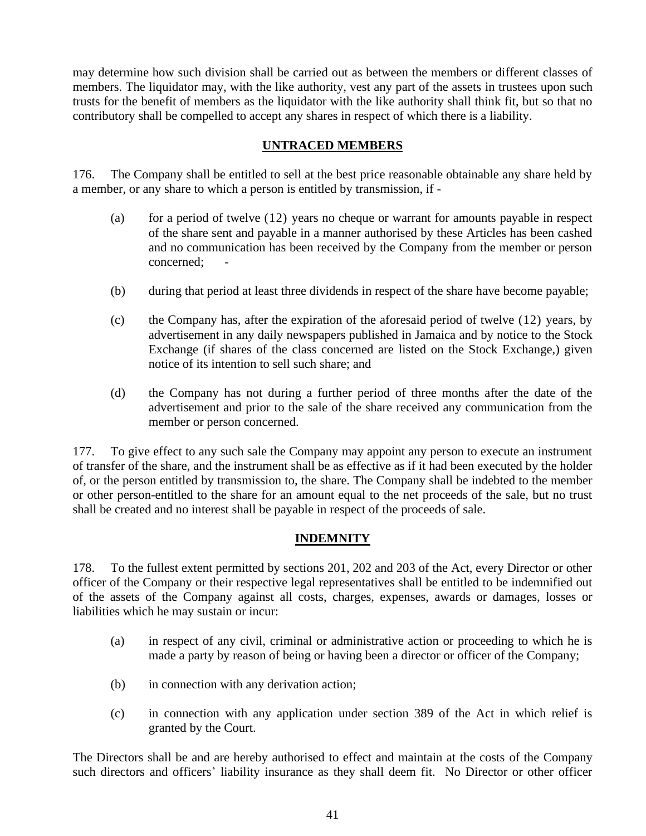may determine how such division shall be carried out as between the members or different classes of members. The liquidator may, with the like authority, vest any part of the assets in trustees upon such trusts for the benefit of members as the liquidator with the like authority shall think fit, but so that no contributory shall be compelled to accept any shares in respect of which there is a liability.

#### **UNTRACED MEMBERS**

176. The Company shall be entitled to sell at the best price reasonable obtainable any share held by a member, or any share to which a person is entitled by transmission, if -

- (a) for a period of twelve (12) years no cheque or warrant for amounts payable in respect of the share sent and payable in a manner authorised by these Articles has been cashed and no communication has been received by the Company from the member or person concerned:
- (b) during that period at least three dividends in respect of the share have become payable;
- (c) the Company has, after the expiration of the aforesaid period of twelve (12) years, by advertisement in any daily newspapers published in Jamaica and by notice to the Stock Exchange (if shares of the class concerned are listed on the Stock Exchange,) given notice of its intention to sell such share; and
- (d) the Company has not during a further period of three months after the date of the advertisement and prior to the sale of the share received any communication from the member or person concerned.

177. To give effect to any such sale the Company may appoint any person to execute an instrument of transfer of the share, and the instrument shall be as effective as if it had been executed by the holder of, or the person entitled by transmission to, the share. The Company shall be indebted to the member or other person-entitled to the share for an amount equal to the net proceeds of the sale, but no trust shall be created and no interest shall be payable in respect of the proceeds of sale.

### **INDEMNITY**

178. To the fullest extent permitted by sections 201, 202 and 203 of the Act, every Director or other officer of the Company or their respective legal representatives shall be entitled to be indemnified out of the assets of the Company against all costs, charges, expenses, awards or damages, losses or liabilities which he may sustain or incur:

- (a) in respect of any civil, criminal or administrative action or proceeding to which he is made a party by reason of being or having been a director or officer of the Company;
- (b) in connection with any derivation action;
- (c) in connection with any application under section 389 of the Act in which relief is granted by the Court.

The Directors shall be and are hereby authorised to effect and maintain at the costs of the Company such directors and officers' liability insurance as they shall deem fit. No Director or other officer